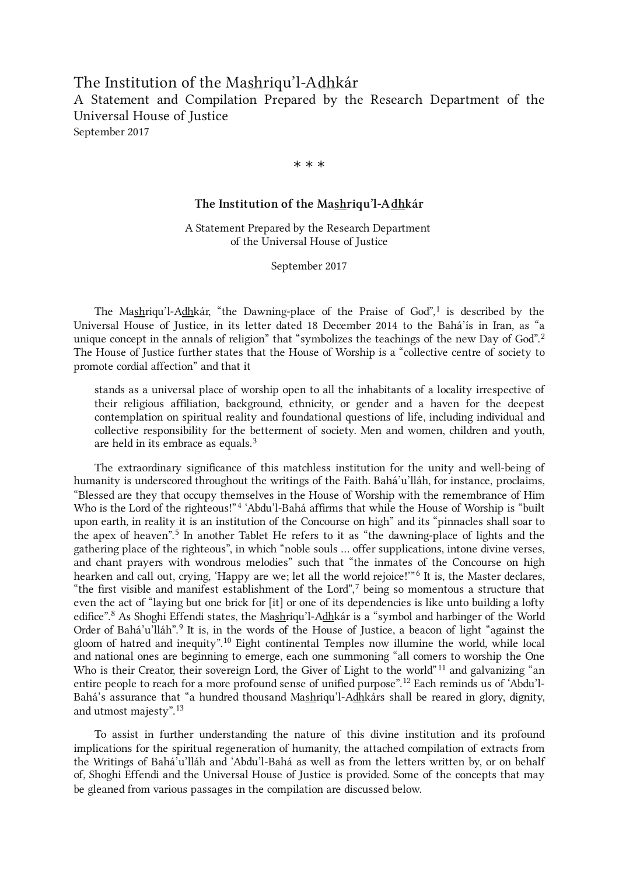# The Institution of the Mashriqu'l-Adhkár

A Statement and Compilation Prepared by the Research Department of the Universal House of Justice

September 2017

\* \* \*

## The Institution of the Mashriqu'l-Adhkár

A Statement Prepared by the Research Department of the Universal House of Justice

## September 2017

<span id="page-0-0"></span>The Mashriqu'l-Adhkár, "the Dawning-place of the Praise of God",<sup>[1](#page-36-0)</sup> is described by the Universal House of Justice, in its letter dated 18 December 2014 to the Bahá'ís in Iran, as "a unique concept in the annals of religion" that "symbolizes the teachings of the new Day of God".<sup>[2](#page-36-1)</sup> The House of Justice further states that the House of Worship is a "collective centre of society to promote cordial affection" and that it

<span id="page-0-1"></span>stands as a universal place of worship open to all the inhabitants of a locality irrespective of their religious affiliation, background, ethnicity, or gender and a haven for the deepest contemplation on spiritual reality and foundational questions of life, including individual and collective responsibility for the betterment of society. Men and women, children and youth, are held in its embrace as equals.<sup>[3](#page-36-2)</sup>

<span id="page-0-2"></span>The extraordinary significance of this matchless institution for the unity and well-being of humanity is underscored throughout the writings of the Faith. Bahá'u'lláh, for instance, proclaims, "Blessed are they that occupy themselves in the House of Worship with the remembrance of Him Who is the Lord of the righteous!"<sup>[4](#page-36-3)</sup> 'Abdu'l-Bahá affirms that while the House of Worship is "built upon earth, in reality it is an institution of the Concourse on high" and its "pinnacles shall soar to the apex of heaven". [5](#page-36-4) In another Tablet He refers to it as "the dawning-place of lights and the gathering place of the righteous", in which "noble souls … offer supplications, intone divine verses, and chant prayers with wondrous melodies" such that "the inmates of the Concourse on high hearken and call out, crying, 'Happy are we; let all the world rejoice!"<sup>[6](#page-36-5)</sup> It is, the Master declares, "the first visible and manifest establishment of the Lord", [7](#page-36-6) being so momentous a structure that even the act of "laying but one brick for [it] or one of its dependencies is like unto building a lofty edifice".<sup>[8](#page-36-7)</sup> As Shoghi Effendi states, the Mashriqu'l-Adhkár is a "symbol and harbinger of the World Order of Bahá'u'lláh".<sup>[9](#page-36-8)</sup> It is, in the words of the House of Justice, a beacon of light "against the gloom of hatred and inequity". [10](#page-36-9) Eight continental Temples now illumine the world, while local and national ones are beginning to emerge, each one summoning "all comers to worship the One Who is their Creator, their sovereign Lord, the Giver of Light to the world"<sup>[11](#page-36-10)</sup> and galvanizing "an entire people to reach for a more profound sense of unified purpose".<sup>[12](#page-36-11)</sup> Each reminds us of 'Abdu'l-Bahá's assurance that "a hundred thousand Mashriqu'l-Adhkárs shall be reared in glory, dignity, and utmost majesty". [13](#page-36-12)

To assist in further understanding the nature of this divine institution and its profound implications for the spiritual regeneration of humanity, the attached compilation of extracts from the Writings of Bahá'u'lláh and 'Abdu'l-Bahá as well as from the letters written by, or on behalf of, Shoghi Effendi and the Universal House of Justice is provided. Some of the concepts that may be gleaned from various passages in the compilation are discussed below.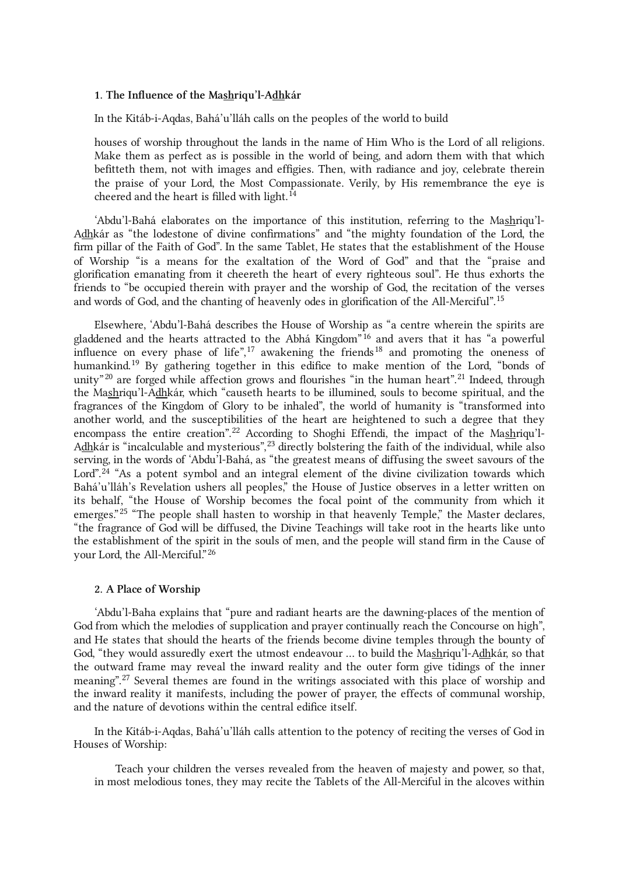#### 1. The Influence of the Mashriqu'l-Adhkár

In the Kitáb-i-Aqdas, Bahá'u'lláh calls on the peoples of the world to build

<span id="page-1-0"></span>houses of worship throughout the lands in the name of Him Who is the Lord of all religions. Make them as perfect as is possible in the world of being, and adorn them with that which befitteth them, not with images and effigies. Then, with radiance and joy, celebrate therein the praise of your Lord, the Most Compassionate. Verily, by His remembrance the eye is cheered and the heart is filled with light. [14](#page-36-13)

<span id="page-1-1"></span>'Abdu'l-Bahá elaborates on the importance of this institution, referring to the Mashriqu'l-Adhkár as "the lodestone of divine confirmations" and "the mighty foundation of the Lord, the firm pillar of the Faith of God". In the same Tablet, He states that the establishment of the House of Worship "is a means for the exaltation of the Word of God" and that the "praise and glorification emanating from it cheereth the heart of every righteous soul". He thus exhorts the friends to "be occupied therein with prayer and the worship of God, the recitation of the verses and words of God, and the chanting of heavenly odes in glorification of the All-Merciful".<sup>[15](#page-36-14)</sup>

<span id="page-1-2"></span>Elsewhere, 'Abdu'l-Bahá describes the House of Worship as "a centre wherein the spirits are gladdened and the hearts attracted to the Abhá Kingdom" [16](#page-36-15) and avers that it has "a powerful influence on every phase of life",<sup>[17](#page-36-16)</sup> awakening the friends<sup>[18](#page-36-17)</sup> and promoting the oneness of humankind.<sup>[19](#page-36-18)</sup> By gathering together in this edifice to make mention of the Lord, "bonds of unity"<sup>[20](#page-36-19)</sup> are forged while affection grows and flourishes "in the human heart".<sup>[21](#page-36-20)</sup> Indeed, through the Mashriqu'l-Adhkár, which "causeth hearts to be illumined, souls to become spiritual, and the fragrances of the Kingdom of Glory to be inhaled", the world of humanity is "transformed into another world, and the susceptibilities of the heart are heightened to such a degree that they encompass the entire creation".<sup>[22](#page-36-21)</sup> According to Shoghi Effendi, the impact of the Mashriqu'l-A<u>dh</u>kár is "incalculable and mysterious",<sup>[23](#page-36-22)</sup> directly bolstering the faith of the individual, while also serving, in the words of 'Abdu'l-Bahá, as "the greatest means of diffusing the sweet savours of the Lord".<sup>[24](#page-36-23)</sup> "As a potent symbol and an integral element of the divine civilization towards which Bahá'u'lláh's Revelation ushers all peoples," the House of Justice observes in a letter written on its behalf, "the House of Worship becomes the focal point of the community from which it emerges."<sup>[25](#page-36-24)</sup> "The people shall hasten to worship in that heavenly Temple," the Master declares, "the fragrance of God will be diffused, the Divine Teachings will take root in the hearts like unto the establishment of the spirit in the souls of men, and the people will stand firm in the Cause of your Lord, the All-Merciful."<sup>[26](#page-36-25)</sup>

### 2. A Place of Worship

<span id="page-1-3"></span>'Abdu'l-Baha explains that "pure and radiant hearts are the dawning-places of the mention of God from which the melodies of supplication and prayer continually reach the Concourse on high", and He states that should the hearts of the friends become divine temples through the bounty of God, "they would assuredly exert the utmost endeavour … to build the Mashriqu'l-Adhkár, so that the outward frame may reveal the inward reality and the outer form give tidings of the inner meaning".<sup>[27](#page-36-26)</sup> Several themes are found in the writings associated with this place of worship and the inward reality it manifests, including the power of prayer, the effects of communal worship, and the nature of devotions within the central edifice itself.

In the Kitáb-i-Aqdas, Bahá'u'lláh calls attention to the potency of reciting the verses of God in Houses of Worship:

<span id="page-1-4"></span>Teach your children the verses revealed from the heaven of majesty and power, so that, in most melodious tones, they may recite the Tablets of the All-Merciful in the alcoves within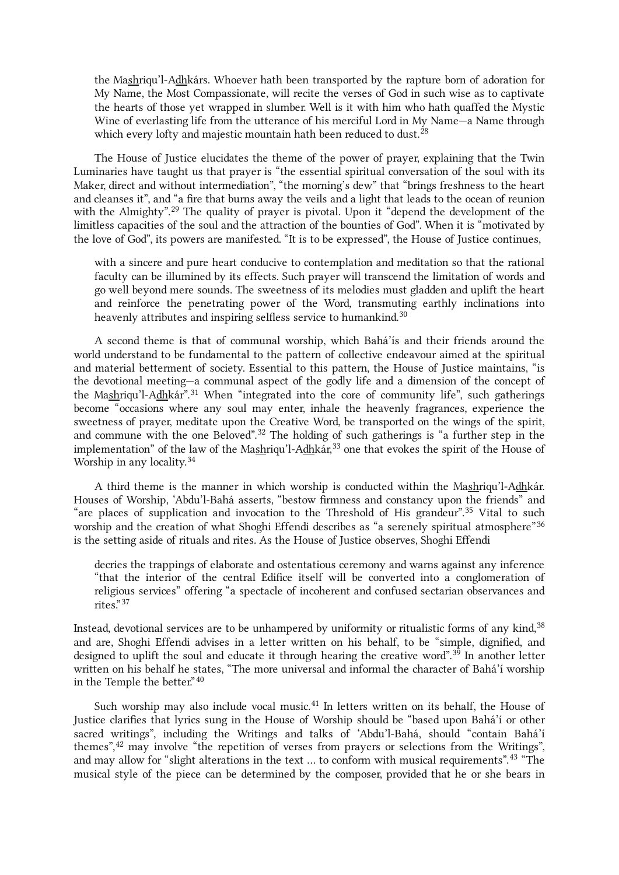the Mashriqu'l-Adhkárs. Whoever hath been transported by the rapture born of adoration for My Name, the Most Compassionate, will recite the verses of God in such wise as to captivate the hearts of those yet wrapped in slumber. Well is it with him who hath quaffed the Mystic Wine of everlasting life from the utterance of his merciful Lord in My Name—a Name through which every lofty and majestic mountain hath been reduced to dust.<sup>[28](#page-36-27)</sup>

<span id="page-2-0"></span>The House of Justice elucidates the theme of the power of prayer, explaining that the Twin Luminaries have taught us that prayer is "the essential spiritual conversation of the soul with its Maker, direct and without intermediation", "the morning's dew" that "brings freshness to the heart and cleanses it", and "a fire that burns away the veils and a light that leads to the ocean of reunion with the Almighty".<sup>[29](#page-36-28)</sup> The quality of prayer is pivotal. Upon it "depend the development of the limitless capacities of the soul and the attraction of the bounties of God". When it is "motivated by the love of God", its powers are manifested. "It is to be expressed", the House of Justice continues,

<span id="page-2-1"></span>with a sincere and pure heart conducive to contemplation and meditation so that the rational faculty can be illumined by its effects. Such prayer will transcend the limitation of words and go well beyond mere sounds. The sweetness of its melodies must gladden and uplift the heart and reinforce the penetrating power of the Word, transmuting earthly inclinations into heavenly attributes and inspiring selfless service to humankind. $^{30}$  $^{30}$  $^{30}$ 

<span id="page-2-2"></span>A second theme is that of communal worship, which Bahá'ís and their friends around the world understand to be fundamental to the pattern of collective endeavour aimed at the spiritual and material betterment of society. Essential to this pattern, the House of Justice maintains, "is the devotional meeting—a communal aspect of the godly life and a dimension of the concept of the Mashriqu'l-Adhkár".<sup>[31](#page-36-30)</sup> When "integrated into the core of community life", such gatherings become "occasions where any soul may enter, inhale the heavenly fragrances, experience the sweetness of prayer, meditate upon the Creative Word, be transported on the wings of the spirit, and commune with the one Beloved".<sup>[32](#page-36-31)</sup> The holding of such gatherings is "a further step in the implementation" of the law of the Ma<u>sh</u>riqu'l-A<u>dh</u>kár,<sup>[33](#page-36-32)</sup> one that evokes the spirit of the House of Worship in any locality. [34](#page-36-33)

<span id="page-2-3"></span>A third theme is the manner in which worship is conducted within the Mashriqu'l-Adhkár. Houses of Worship, 'Abdu'l-Bahá asserts, "bestow firmness and constancy upon the friends" and "are places of supplication and invocation to the Threshold of His grandeur".<sup>[35](#page-36-34)</sup> Vital to such worship and the creation of what Shoghi Effendi describes as "a serenely spiritual atmosphere" [36](#page-36-35) is the setting aside of rituals and rites. As the House of Justice observes, Shoghi Effendi

<span id="page-2-4"></span>decries the trappings of elaborate and ostentatious ceremony and warns against any inference "that the interior of the central Edifice itself will be converted into a conglomeration of religious services" offering "a spectacle of incoherent and confused sectarian observances and rites." [37](#page-36-36)

<span id="page-2-5"></span>Instead, devotional services are to be unhampered by uniformity or ritualistic forms of any kind,<sup>[38](#page-36-37)</sup> and are, Shoghi Effendi advises in a letter written on his behalf, to be "simple, dignified, and designed to uplift the soul and educate it through hearing the creative word".<sup>[39](#page-36-38)</sup> In another letter written on his behalf he states, "The more universal and informal the character of Bahá'í worship in the Temple the better." [40](#page-36-39)

<span id="page-2-6"></span>Such worship may also include vocal music.<sup>[41](#page-36-40)</sup> In letters written on its behalf, the House of Justice clarifies that lyrics sung in the House of Worship should be "based upon Bahá'í or other sacred writings", including the Writings and talks of 'Abdu'l-Bahá, should "contain Bahá'í themes",<sup>[42](#page-36-41)</sup> may involve "the repetition of verses from prayers or selections from the Writings", and may allow for "slight alterations in the text ... to conform with musical requirements".<sup>[43](#page-36-42)</sup> "The musical style of the piece can be determined by the composer, provided that he or she bears in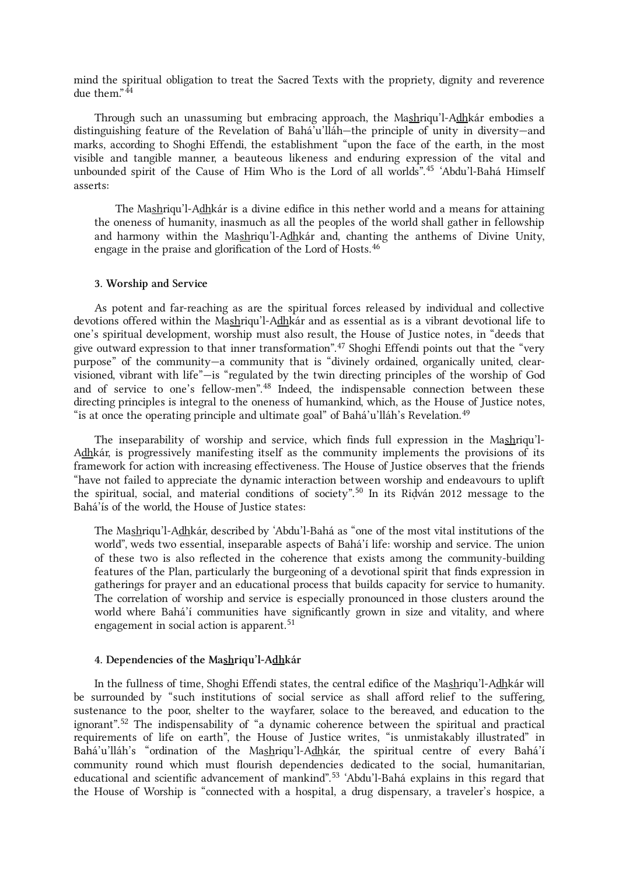mind the spiritual obligation to treat the Sacred Texts with the propriety, dignity and reverence due them." [44](#page-36-43)

<span id="page-3-0"></span>Through such an unassuming but embracing approach, the Mashriqu'l-Adhkár embodies a distinguishing feature of the Revelation of Bahá'u'lláh—the principle of unity in diversity—and marks, according to Shoghi Effendi, the establishment "upon the face of the earth, in the most visible and tangible manner, a beauteous likeness and enduring expression of the vital and unbounded spirit of the Cause of Him Who is the Lord of all worlds". [45](#page-36-44) 'Abdu'l-Bahá Himself asserts:

<span id="page-3-1"></span>The Mashriqu'l-Adhkár is a divine edifice in this nether world and a means for attaining the oneness of humanity, inasmuch as all the peoples of the world shall gather in fellowship and harmony within the Mashriqu'l-Adhkár and, chanting the anthems of Divine Unity, engage in the praise and glorification of the Lord of Hosts.<sup>[46](#page-36-45)</sup>

### 3. Worship and Service

<span id="page-3-2"></span>As potent and far-reaching as are the spiritual forces released by individual and collective devotions offered within the Mashriqu'l-Adhkár and as essential as is a vibrant devotional life to one's spiritual development, worship must also result, the House of Justice notes, in "deeds that give outward expression to that inner transformation".<sup>[47](#page-37-0)</sup> Shoghi Effendi points out that the "very purpose" of the community—a community that is "divinely ordained, organically united, clearvisioned, vibrant with life"—is "regulated by the twin directing principles of the worship of God and of service to one's fellow-men".<sup>[48](#page-37-1)</sup> Indeed, the indispensable connection between these directing principles is integral to the oneness of humankind, which, as the House of Justice notes, "is at once the operating principle and ultimate goal" of Bahá'u'lláh's Revelation.<sup>[49](#page-37-2)</sup>

<span id="page-3-3"></span>The inseparability of worship and service, which finds full expression in the Mashriqu'l-Adhkár, is progressively manifesting itself as the community implements the provisions of its framework for action with increasing effectiveness. The House of Justice observes that the friends "have not failed to appreciate the dynamic interaction between worship and endeavours to uplift the spiritual, social, and material conditions of society". [50](#page-37-3) In its Riḍván 2012 message to the Bahá'ís of the world, the House of Justice states:

<span id="page-3-4"></span>The Mashriqu'l-Adhkár, described by 'Abdu'l-Bahá as "one of the most vital institutions of the world", weds two essential, inseparable aspects of Bahá'í life: worship and service. The union of these two is also reflected in the coherence that exists among the community-building features of the Plan, particularly the burgeoning of a devotional spirit that finds expression in gatherings for prayer and an educational process that builds capacity for service to humanity. The correlation of worship and service is especially pronounced in those clusters around the world where Bahá'í communities have significantly grown in size and vitality, and where engagement in social action is apparent. [51](#page-37-4)

#### <span id="page-3-5"></span>4. Dependencies of the Mashriqu'l-Adhkár

In the fullness of time, Shoghi Effendi states, the central edifice of the Mashriqu'l-Adhkár will be surrounded by "such institutions of social service as shall afford relief to the suffering, sustenance to the poor, shelter to the wayfarer, solace to the bereaved, and education to the ignorant".<sup>[52](#page-37-5)</sup> The indispensability of "a dynamic coherence between the spiritual and practical requirements of life on earth", the House of Justice writes, "is unmistakably illustrated" in Bahá'u'lláh's "ordination of the Mashriqu'l-Adhkár, the spiritual centre of every Bahá'í community round which must flourish dependencies dedicated to the social, humanitarian, educational and scientific advancement of mankind".<sup>[53](#page-37-6)</sup> 'Abdu'l-Bahá explains in this regard that the House of Worship is "connected with a hospital, a drug dispensary, a traveler's hospice, a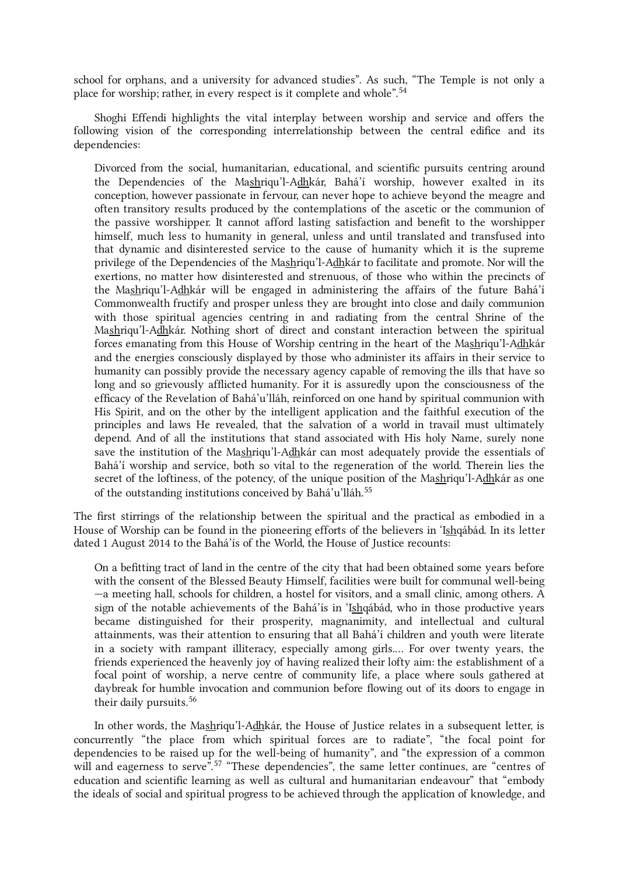school for orphans, and a university for advanced studies". As such, "The Temple is not only a place for worship; rather, in every respect is it complete and whole". [54](#page-37-7)

Shoghi Effendi highlights the vital interplay between worship and service and offers the following vision of the corresponding interrelationship between the central edifice and its dependencies:

<span id="page-4-0"></span>Divorced from the social, humanitarian, educational, and scientific pursuits centring around the Dependencies of the Mashriqu'l-Adhkár, Bahá'í worship, however exalted in its conception, however passionate in fervour, can never hope to achieve beyond the meagre and often transitory results produced by the contemplations of the ascetic or the communion of the passive worshipper. It cannot afford lasting satisfaction and benefit to the worshipper himself, much less to humanity in general, unless and until translated and transfused into that dynamic and disinterested service to the cause of humanity which it is the supreme privilege of the Dependencies of the Mashriqu'l-Adhkár to facilitate and promote. Nor will the exertions, no matter how disinterested and strenuous, of those who within the precincts of the Mashriqu'l-Adhkár will be engaged in administering the affairs of the future Bahá'í Commonwealth fructify and prosper unless they are brought into close and daily communion with those spiritual agencies centring in and radiating from the central Shrine of the Mashriqu'l-Adhkár. Nothing short of direct and constant interaction between the spiritual forces emanating from this House of Worship centring in the heart of the Mashriqu'l-Adhkár and the energies consciously displayed by those who administer its affairs in their service to humanity can possibly provide the necessary agency capable of removing the ills that have so long and so grievously afflicted humanity. For it is assuredly upon the consciousness of the efficacy of the Revelation of Bahá'u'lláh, reinforced on one hand by spiritual communion with His Spirit, and on the other by the intelligent application and the faithful execution of the principles and laws He revealed, that the salvation of a world in travail must ultimately depend. And of all the institutions that stand associated with His holy Name, surely none save the institution of the Mashriqu'l-Adhkár can most adequately provide the essentials of Bahá'í worship and service, both so vital to the regeneration of the world. Therein lies the secret of the loftiness, of the potency, of the unique position of the Mashriqu'l-Adhkár as one of the outstanding institutions conceived by Bahá'u'lláh.<sup>[55](#page-37-8)</sup>

The first stirrings of the relationship between the spiritual and the practical as embodied in a House of Worship can be found in the pioneering efforts of the believers in 'Ishqábád. In its letter dated 1 August 2014 to the Bahá'ís of the World, the House of Justice recounts:

<span id="page-4-1"></span>On a befitting tract of land in the centre of the city that had been obtained some years before with the consent of the Blessed Beauty Himself, facilities were built for communal well-being —a meeting hall, schools for children, a hostel for visitors, and a small clinic, among others. A sign of the notable achievements of the Bahá'ís in 'Ishqábád, who in those productive years became distinguished for their prosperity, magnanimity, and intellectual and cultural attainments, was their attention to ensuring that all Bahá'í children and youth were literate in a society with rampant illiteracy, especially among girls.… For over twenty years, the friends experienced the heavenly joy of having realized their lofty aim: the establishment of a focal point of worship, a nerve centre of community life, a place where souls gathered at daybreak for humble invocation and communion before flowing out of its doors to engage in their daily pursuits. [56](#page-37-9)

<span id="page-4-2"></span>In other words, the Mashriqu'l-Adhkár, the House of Justice relates in a subsequent letter, is concurrently "the place from which spiritual forces are to radiate", "the focal point for dependencies to be raised up for the well-being of humanity", and "the expression of a common will and eagerness to serve".<sup>[57](#page-37-10)</sup> "These dependencies", the same letter continues, are "centres of education and scientific learning as well as cultural and humanitarian endeavour" that "embody the ideals of social and spiritual progress to be achieved through the application of knowledge, and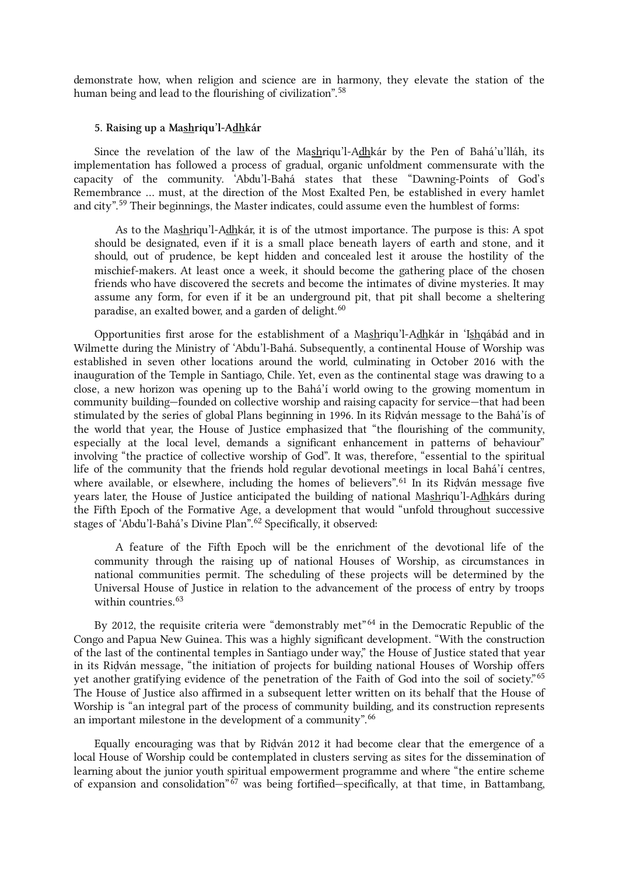demonstrate how, when religion and science are in harmony, they elevate the station of the human being and lead to the flourishing of civilization".<sup>[58](#page-37-11)</sup>

## 5. Raising up a Mashriqu'l-Adhkár

<span id="page-5-0"></span>Since the revelation of the law of the Mashriqu'l-Adhkár by the Pen of Bahá'u'lláh, its implementation has followed a process of gradual, organic unfoldment commensurate with the capacity of the community. 'Abdu'l-Bahá states that these "Dawning-Points of God's Remembrance … must, at the direction of the Most Exalted Pen, be established in every hamlet and city".<sup>[59](#page-37-12)</sup> Their beginnings, the Master indicates, could assume even the humblest of forms:

<span id="page-5-1"></span>As to the Mashriqu'l-Adhkár, it is of the utmost importance. The purpose is this: A spot should be designated, even if it is a small place beneath layers of earth and stone, and it should, out of prudence, be kept hidden and concealed lest it arouse the hostility of the mischief-makers. At least once a week, it should become the gathering place of the chosen friends who have discovered the secrets and become the intimates of divine mysteries. It may assume any form, for even if it be an underground pit, that pit shall become a sheltering paradise, an exalted bower, and a garden of delight. [60](#page-37-13)

<span id="page-5-2"></span>Opportunities first arose for the establishment of a Mashriqu'l-Adhkár in 'Ishqábád and in Wilmette during the Ministry of 'Abdu'l-Bahá. Subsequently, a continental House of Worship was established in seven other locations around the world, culminating in October 2016 with the inauguration of the Temple in Santiago, Chile. Yet, even as the continental stage was drawing to a close, a new horizon was opening up to the Bahá'í world owing to the growing momentum in community building—founded on collective worship and raising capacity for service—that had been stimulated by the series of global Plans beginning in 1996. In its Riḍván message to the Bahá'ís of the world that year, the House of Justice emphasized that "the flourishing of the community, especially at the local level, demands a significant enhancement in patterns of behaviour" involving "the practice of collective worship of God". It was, therefore, "essential to the spiritual life of the community that the friends hold regular devotional meetings in local Bahá'í centres, where available, or elsewhere, including the homes of believers".<sup>[61](#page-37-14)</sup> In its Ridván message five years later, the House of Justice anticipated the building of national Mashriqu'l-Adhkárs during the Fifth Epoch of the Formative Age, a development that would "unfold throughout successive stages of 'Abdu'l-Bahá's Divine Plan". [62](#page-37-15) Specifically, it observed:

<span id="page-5-3"></span>A feature of the Fifth Epoch will be the enrichment of the devotional life of the community through the raising up of national Houses of Worship, as circumstances in national communities permit. The scheduling of these projects will be determined by the Universal House of Justice in relation to the advancement of the process of entry by troops within countries. [63](#page-37-16)

<span id="page-5-4"></span>By 2012, the requisite criteria were "demonstrably met"<sup>[64](#page-37-17)</sup> in the Democratic Republic of the Congo and Papua New Guinea. This was a highly significant development. "With the construction of the last of the continental temples in Santiago under way," the House of Justice stated that year in its Riḍván message, "the initiation of projects for building national Houses of Worship offers yet another gratifying evidence of the penetration of the Faith of God into the soil of society." [65](#page-37-18) The House of Justice also affirmed in a subsequent letter written on its behalf that the House of Worship is "an integral part of the process of community building, and its construction represents an important milestone in the development of a community".<sup>[66](#page-37-19)</sup>

<span id="page-5-5"></span>Equally encouraging was that by Riḍván 2012 it had become clear that the emergence of a local House of Worship could be contemplated in clusters serving as sites for the dissemination of learning about the junior youth spiritual empowerment programme and where "the entire scheme of expansion and consolidation<sup>"[67](#page-37-20)</sup> was being fortified–specifically, at that time, in Battambang,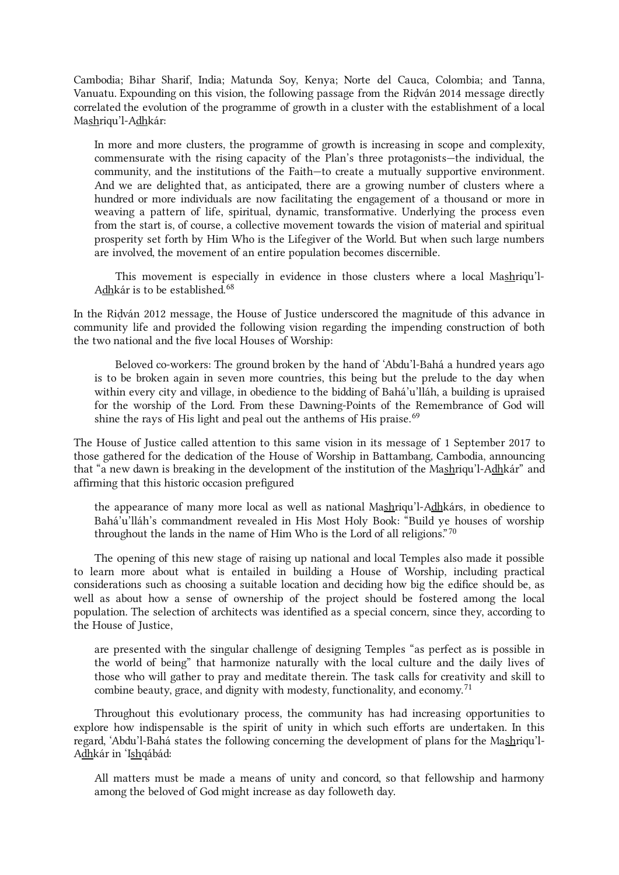Cambodia; Bihar Sharif, India; Matunda Soy, Kenya; Norte del Cauca, Colombia; and Tanna, Vanuatu. Expounding on this vision, the following passage from the Riḍván 2014 message directly correlated the evolution of the programme of growth in a cluster with the establishment of a local Mashriqu'l-Adhkár:

In more and more clusters, the programme of growth is increasing in scope and complexity, commensurate with the rising capacity of the Plan's three protagonists—the individual, the community, and the institutions of the Faith—to create a mutually supportive environment. And we are delighted that, as anticipated, there are a growing number of clusters where a hundred or more individuals are now facilitating the engagement of a thousand or more in weaving a pattern of life, spiritual, dynamic, transformative. Underlying the process even from the start is, of course, a collective movement towards the vision of material and spiritual prosperity set forth by Him Who is the Lifegiver of the World. But when such large numbers are involved, the movement of an entire population becomes discernible.

<span id="page-6-0"></span>This movement is especially in evidence in those clusters where a local Mashriqu'l-Adhkár is to be established.<sup>[68](#page-37-21)</sup>

In the Riḍván 2012 message, the House of Justice underscored the magnitude of this advance in community life and provided the following vision regarding the impending construction of both the two national and the five local Houses of Worship:

<span id="page-6-1"></span>Beloved co-workers: The ground broken by the hand of 'Abdu'l-Bahá a hundred years ago is to be broken again in seven more countries, this being but the prelude to the day when within every city and village, in obedience to the bidding of Bahá'u'lláh, a building is upraised for the worship of the Lord. From these Dawning-Points of the Remembrance of God will shine the rays of His light and peal out the anthems of His praise.<sup>[69](#page-37-22)</sup>

The House of Justice called attention to this same vision in its message of 1 September 2017 to those gathered for the dedication of the House of Worship in Battambang, Cambodia, announcing that "a new dawn is breaking in the development of the institution of the Mashriqu'l-Adhkár" and affirming that this historic occasion prefigured

<span id="page-6-2"></span>the appearance of many more local as well as national Mashriqu'l-Adhkárs, in obedience to Bahá'u'lláh's commandment revealed in His Most Holy Book: "Build ye houses of worship throughout the lands in the name of Him Who is the Lord of all religions." $70$ 

The opening of this new stage of raising up national and local Temples also made it possible to learn more about what is entailed in building a House of Worship, including practical considerations such as choosing a suitable location and deciding how big the edifice should be, as well as about how a sense of ownership of the project should be fostered among the local population. The selection of architects was identified as a special concern, since they, according to the House of Justice,

<span id="page-6-3"></span>are presented with the singular challenge of designing Temples "as perfect as is possible in the world of being" that harmonize naturally with the local culture and the daily lives of those who will gather to pray and meditate therein. The task calls for creativity and skill to combine beauty, grace, and dignity with modesty, functionality, and economy.<sup>[71](#page-37-24)</sup>

Throughout this evolutionary process, the community has had increasing opportunities to explore how indispensable is the spirit of unity in which such efforts are undertaken. In this regard, 'Abdu'l-Bahá states the following concerning the development of plans for the Mashriqu'l-Adhkár in 'Ishqábád:

All matters must be made a means of unity and concord, so that fellowship and harmony among the beloved of God might increase as day followeth day.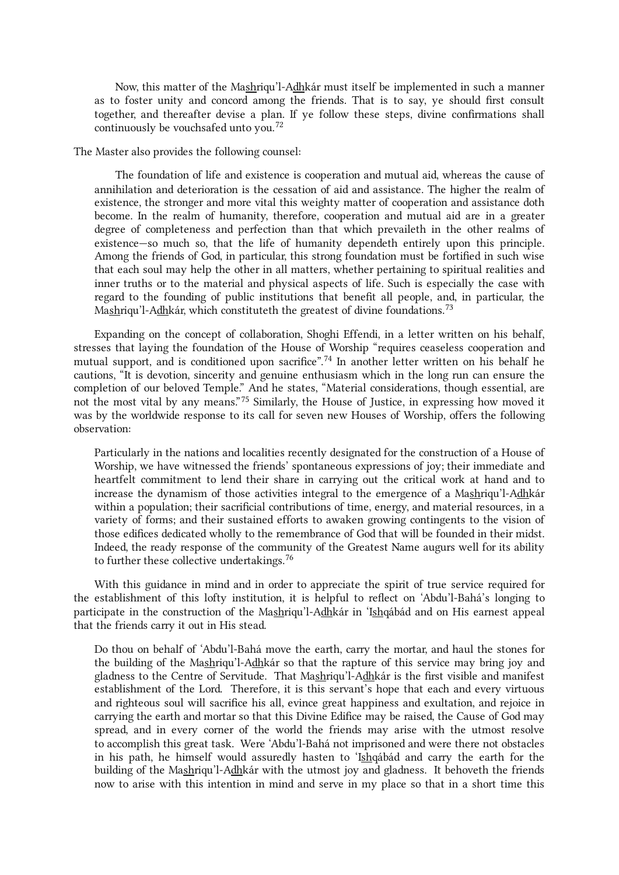<span id="page-7-0"></span>Now, this matter of the Mashriqu'l-Adhkár must itself be implemented in such a manner as to foster unity and concord among the friends. That is to say, ye should first consult together, and thereafter devise a plan. If ye follow these steps, divine confirmations shall continuously be vouchsafed unto you. [72](#page-37-25)

The Master also provides the following counsel:

<span id="page-7-1"></span>The foundation of life and existence is cooperation and mutual aid, whereas the cause of annihilation and deterioration is the cessation of aid and assistance. The higher the realm of existence, the stronger and more vital this weighty matter of cooperation and assistance doth become. In the realm of humanity, therefore, cooperation and mutual aid are in a greater degree of completeness and perfection than that which prevaileth in the other realms of existence—so much so, that the life of humanity dependeth entirely upon this principle. Among the friends of God, in particular, this strong foundation must be fortified in such wise that each soul may help the other in all matters, whether pertaining to spiritual realities and inner truths or to the material and physical aspects of life. Such is especially the case with regard to the founding of public institutions that benefit all people, and, in particular, the Mashriqu'l-Adhkár, which constituteth the greatest of divine foundations.<sup>[73](#page-37-26)</sup>

<span id="page-7-2"></span>Expanding on the concept of collaboration, Shoghi Effendi, in a letter written on his behalf, stresses that laying the foundation of the House of Worship "requires ceaseless cooperation and mutual support, and is conditioned upon sacrifice".<sup>[74](#page-37-27)</sup> In another letter written on his behalf he cautions, "It is devotion, sincerity and genuine enthusiasm which in the long run can ensure the completion of our beloved Temple." And he states, "Material considerations, though essential, are not the most vital by any means."<sup>[75](#page-37-28)</sup> Similarly, the House of Justice, in expressing how moved it was by the worldwide response to its call for seven new Houses of Worship, offers the following observation:

<span id="page-7-3"></span>Particularly in the nations and localities recently designated for the construction of a House of Worship, we have witnessed the friends' spontaneous expressions of joy; their immediate and heartfelt commitment to lend their share in carrying out the critical work at hand and to increase the dynamism of those activities integral to the emergence of a Mashriqu'l-Adhkár within a population; their sacrificial contributions of time, energy, and material resources, in a variety of forms; and their sustained efforts to awaken growing contingents to the vision of those edifices dedicated wholly to the remembrance of God that will be founded in their midst. Indeed, the ready response of the community of the Greatest Name augurs well for its ability to further these collective undertakings. [76](#page-37-29)

With this guidance in mind and in order to appreciate the spirit of true service required for the establishment of this lofty institution, it is helpful to reflect on 'Abdu'l-Bahá's longing to participate in the construction of the Mashriqu'l-Adhkár in 'Ishqábád and on His earnest appeal that the friends carry it out in His stead.

<span id="page-7-4"></span>Do thou on behalf of 'Abdu'l-Bahá move the earth, carry the mortar, and haul the stones for the building of the Mashriqu'l-Adhkár so that the rapture of this service may bring joy and gladness to the Centre of Servitude. That Mashriqu'l-Adhkár is the first visible and manifest establishment of the Lord. Therefore, it is this servant's hope that each and every virtuous and righteous soul will sacrifice his all, evince great happiness and exultation, and rejoice in carrying the earth and mortar so that this Divine Edifice may be raised, the Cause of God may spread, and in every corner of the world the friends may arise with the utmost resolve to accomplish this great task. Were 'Abdu'l-Bahá not imprisoned and were there not obstacles in his path, he himself would assuredly hasten to 'Ishqábád and carry the earth for the building of the Mashriqu'l-Adhkár with the utmost joy and gladness. It behoveth the friends now to arise with this intention in mind and serve in my place so that in a short time this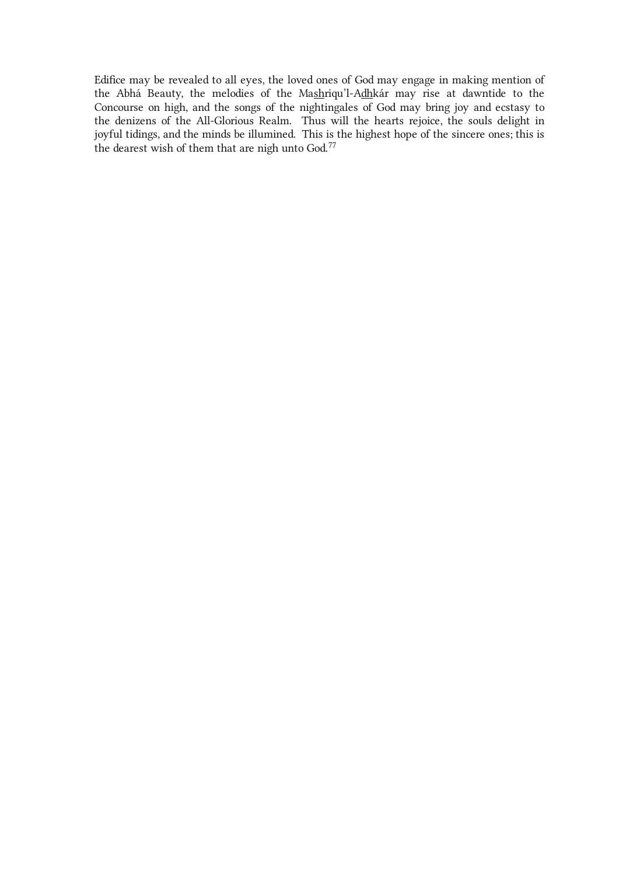Edifice may be revealed to all eyes, the loved ones of God may engage in making mention of the Abhá Beauty, the melodies of the Mashriqu'l-Adhkár may rise at dawntide to the Concourse on high, and the songs of the nightingales  $\overline{of}$  God may bring joy and ecstasy to the denizens of the All-Glorious Realm. Thus will the hearts rejoice, the souls delight in joyful tidings, and the minds be illumined. This is the highest hope of the sincere ones; this is the dearest wish of them that are nigh unto God.<sup>[77](#page-37-30)</sup>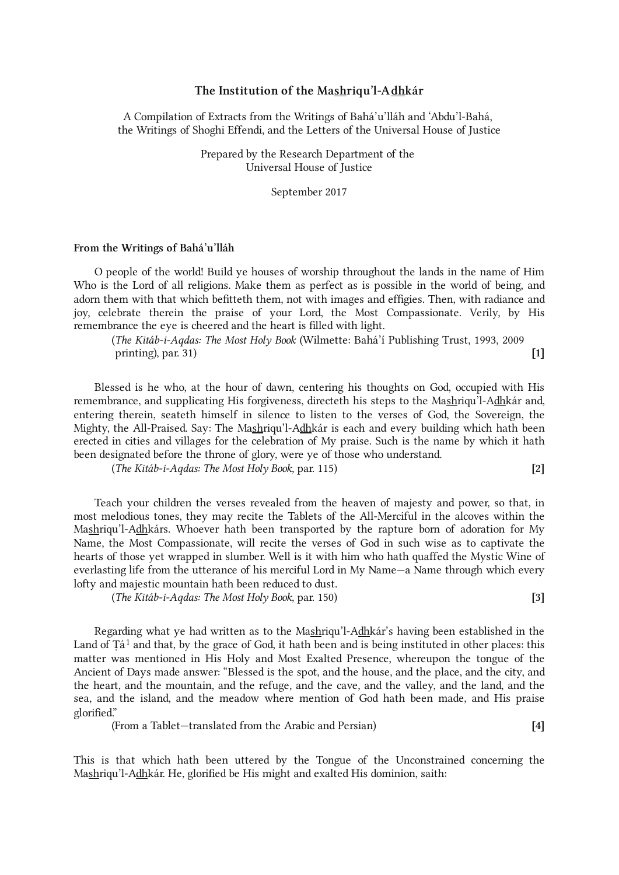## The Institution of the Mashriqu'l-Adhkár

A Compilation of Extracts from the Writings of Bahá'u'lláh and 'Abdu'l-Bahá, the Writings of Shoghi Effendi, and the Letters of the Universal House of Justice

> Prepared by the Research Department of the Universal House of Justice

> > September 2017

#### From the Writings of Bahá'u'lláh

O people of the world! Build ye houses of worship throughout the lands in the name of Him Who is the Lord of all religions. Make them as perfect as is possible in the world of being, and adorn them with that which befitteth them, not with images and effigies. Then, with radiance and joy, celebrate therein the praise of your Lord, the Most Compassionate. Verily, by His remembrance the eye is cheered and the heart is filled with light.

(The Kitáb-i-Aqdas: The Most Holy Book (Wilmette: Bahá'í Publishing Trust, 1993, 2009 printing), par. 31) [1]

Blessed is he who, at the hour of dawn, centering his thoughts on God, occupied with His remembrance, and supplicating His forgiveness, directeth his steps to the Mashriqu'l-Adhkár and, entering therein, seateth himself in silence to listen to the verses of God, the Sovereign, the Mighty, the All-Praised. Say: The Mashriqu'l-Adhkár is each and every building which hath been erected in cities and villages for the celebration of My praise. Such is the name by which it hath been designated before the throne of glory, were ye of those who understand.

(The Kitáb-i-Aqdas: The Most Holy Book, par. 115) [2]

Teach your children the verses revealed from the heaven of majesty and power, so that, in most melodious tones, they may recite the Tablets of the All-Merciful in the alcoves within the Mashriqu'l-Adhkárs. Whoever hath been transported by the rapture born of adoration for My Name, the Most Compassionate, will recite the verses of God in such wise as to captivate the hearts of those yet wrapped in slumber. Well is it with him who hath quaffed the Mystic Wine of everlasting life from the utterance of his merciful Lord in My Name—a Name through which every lofty and majestic mountain hath been reduced to dust.

(The Kitáb-i-Aqdas: The Most Holy Book, par. 150)  $[3]$ 

<span id="page-9-0"></span>Regarding what ye had written as to the Mashriqu'l-Adhkár's having been established in the Land of  $\text{Ta}^1$  $\text{Ta}^1$  and that, by the grace of God, it hath been and is being instituted in other places: this matter was mentioned in His Holy and Most Exalted Presence, whereupon the tongue of the Ancient of Days made answer: "Blessed is the spot, and the house, and the place, and the city, and the heart, and the mountain, and the refuge, and the cave, and the valley, and the land, and the sea, and the island, and the meadow where mention of God hath been made, and His praise glorified."

(From a Tablet—translated from the Arabic and Persian) [4]

This is that which hath been uttered by the Tongue of the Unconstrained concerning the Mashriqu'l-Adhkár. He, glorified be His might and exalted His dominion, saith: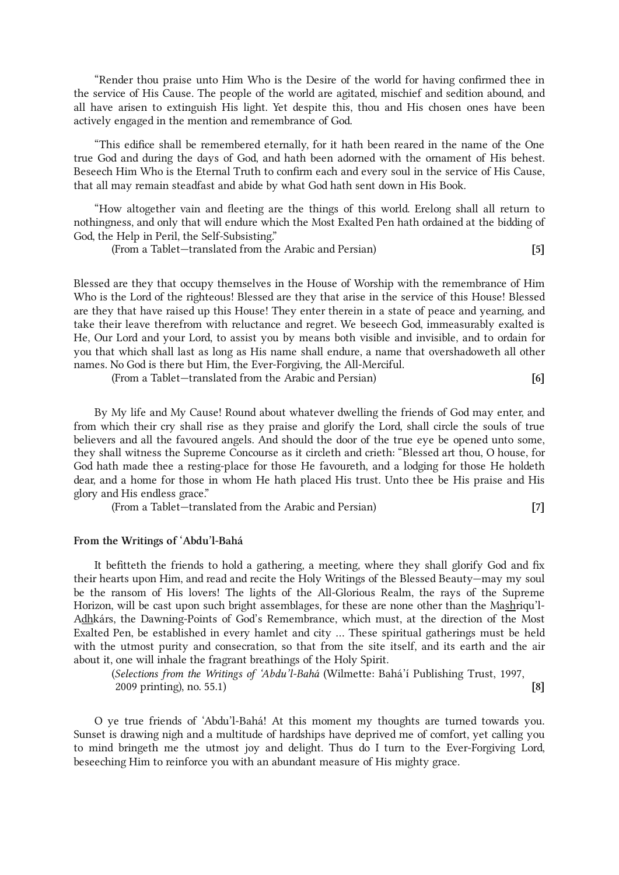"Render thou praise unto Him Who is the Desire of the world for having confirmed thee in the service of His Cause. The people of the world are agitated, mischief and sedition abound, and all have arisen to extinguish His light. Yet despite this, thou and His chosen ones have been actively engaged in the mention and remembrance of God.

"This edifice shall be remembered eternally, for it hath been reared in the name of the One true God and during the days of God, and hath been adorned with the ornament of His behest. Beseech Him Who is the Eternal Truth to confirm each and every soul in the service of His Cause, that all may remain steadfast and abide by what God hath sent down in His Book.

"How altogether vain and fleeting are the things of this world. Erelong shall all return to nothingness, and only that will endure which the Most Exalted Pen hath ordained at the bidding of God, the Help in Peril, the Self-Subsisting."

(From a Tablet—translated from the Arabic and Persian) [5]

Blessed are they that occupy themselves in the House of Worship with the remembrance of Him Who is the Lord of the righteous! Blessed are they that arise in the service of this House! Blessed are they that have raised up this House! They enter therein in a state of peace and yearning, and take their leave therefrom with reluctance and regret. We beseech God, immeasurably exalted is He, Our Lord and your Lord, to assist you by means both visible and invisible, and to ordain for you that which shall last as long as His name shall endure, a name that overshadoweth all other names. No God is there but Him, the Ever-Forgiving, the All-Merciful.

(From a Tablet—translated from the Arabic and Persian) [6]

By My life and My Cause! Round about whatever dwelling the friends of God may enter, and from which their cry shall rise as they praise and glorify the Lord, shall circle the souls of true believers and all the favoured angels. And should the door of the true eye be opened unto some, they shall witness the Supreme Concourse as it circleth and crieth: "Blessed art thou, O house, for God hath made thee a resting-place for those He favoureth, and a lodging for those He holdeth dear, and a home for those in whom He hath placed His trust. Unto thee be His praise and His glory and His endless grace."

(From a Tablet—translated from the Arabic and Persian) [7]

## From the Writings of 'Abdu'l-Bahá

It befitteth the friends to hold a gathering, a meeting, where they shall glorify God and fix their hearts upon Him, and read and recite the Holy Writings of the Blessed Beauty—may my soul be the ransom of His lovers! The lights of the All-Glorious Realm, the rays of the Supreme Horizon, will be cast upon such bright assemblages, for these are none other than the Mashriqu'l-Adhkárs, the Dawning-Points of God's Remembrance, which must, at the direction of the Most Exalted Pen, be established in every hamlet and city … These spiritual gatherings must be held with the utmost purity and consecration, so that from the site itself, and its earth and the air about it, one will inhale the fragrant breathings of the Holy Spirit.

(Selections from the Writings of 'Abdu'l-Bahá (Wilmette: Bahá'í Publishing Trust, 1997, 2009 printing), no. 55.1) [8]

O ye true friends of 'Abdu'l-Bahá! At this moment my thoughts are turned towards you. Sunset is drawing nigh and a multitude of hardships have deprived me of comfort, yet calling you to mind bringeth me the utmost joy and delight. Thus do I turn to the Ever-Forgiving Lord, beseeching Him to reinforce you with an abundant measure of His mighty grace.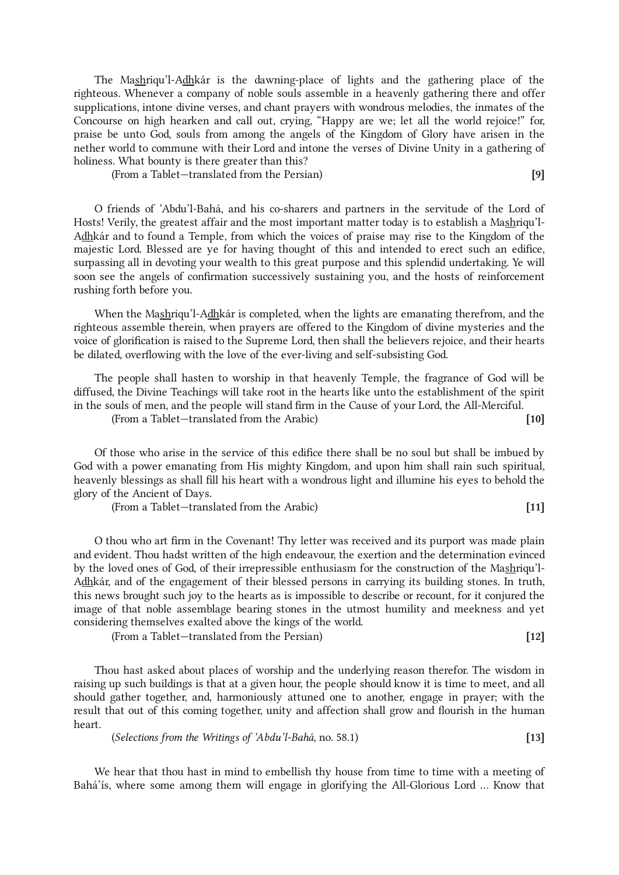The Mashriqu'l-Adhkár is the dawning-place of lights and the gathering place of the righteous. Whenever a company of noble souls assemble in a heavenly gathering there and offer supplications, intone divine verses, and chant prayers with wondrous melodies, the inmates of the Concourse on high hearken and call out, crying, "Happy are we; let all the world rejoice!" for, praise be unto God, souls from among the angels of the Kingdom of Glory have arisen in the nether world to commune with their Lord and intone the verses of Divine Unity in a gathering of holiness. What bounty is there greater than this?

(From a Tablet—translated from the Persian) [9]

O friends of 'Abdu'l-Bahá, and his co-sharers and partners in the servitude of the Lord of Hosts! Verily, the greatest affair and the most important matter today is to establish a Mashriqu'l-Adhkár and to found a Temple, from which the voices of praise may rise to the Kingdom of the majestic Lord. Blessed are ye for having thought of this and intended to erect such an edifice, surpassing all in devoting your wealth to this great purpose and this splendid undertaking. Ye will soon see the angels of confirmation successively sustaining you, and the hosts of reinforcement rushing forth before you.

When the Mashriqu'l-Adhkár is completed, when the lights are emanating therefrom, and the righteous assemble therein, when prayers are offered to the Kingdom of divine mysteries and the voice of glorification is raised to the Supreme Lord, then shall the believers rejoice, and their hearts be dilated, overflowing with the love of the ever-living and self-subsisting God.

The people shall hasten to worship in that heavenly Temple, the fragrance of God will be diffused, the Divine Teachings will take root in the hearts like unto the establishment of the spirit in the souls of men, and the people will stand firm in the Cause of your Lord, the All-Merciful.

(From a Tablet—translated from the Arabic) [10]

Of those who arise in the service of this edifice there shall be no soul but shall be imbued by God with a power emanating from His mighty Kingdom, and upon him shall rain such spiritual, heavenly blessings as shall fill his heart with a wondrous light and illumine his eyes to behold the glory of the Ancient of Days.

(From a Tablet—translated from the Arabic) [11]

O thou who art firm in the Covenant! Thy letter was received and its purport was made plain and evident. Thou hadst written of the high endeavour, the exertion and the determination evinced by the loved ones of God, of their irrepressible enthusiasm for the construction of the Mashriqu'l-Adhkár, and of the engagement of their blessed persons in carrying its building stones. In truth, this news brought such joy to the hearts as is impossible to describe or recount, for it conjured the image of that noble assemblage bearing stones in the utmost humility and meekness and yet considering themselves exalted above the kings of the world.

(From a Tablet—translated from the Persian) [12]

Thou hast asked about places of worship and the underlying reason therefor. The wisdom in raising up such buildings is that at a given hour, the people should know it is time to meet, and all should gather together, and, harmoniously attuned one to another, engage in prayer; with the result that out of this coming together, unity and affection shall grow and flourish in the human heart.

(Selections from the Writings of 'Abdu'l-Bahá, no. 58.1) [13]

We hear that thou hast in mind to embellish thy house from time to time with a meeting of Bahá'ís, where some among them will engage in glorifying the All-Glorious Lord … Know that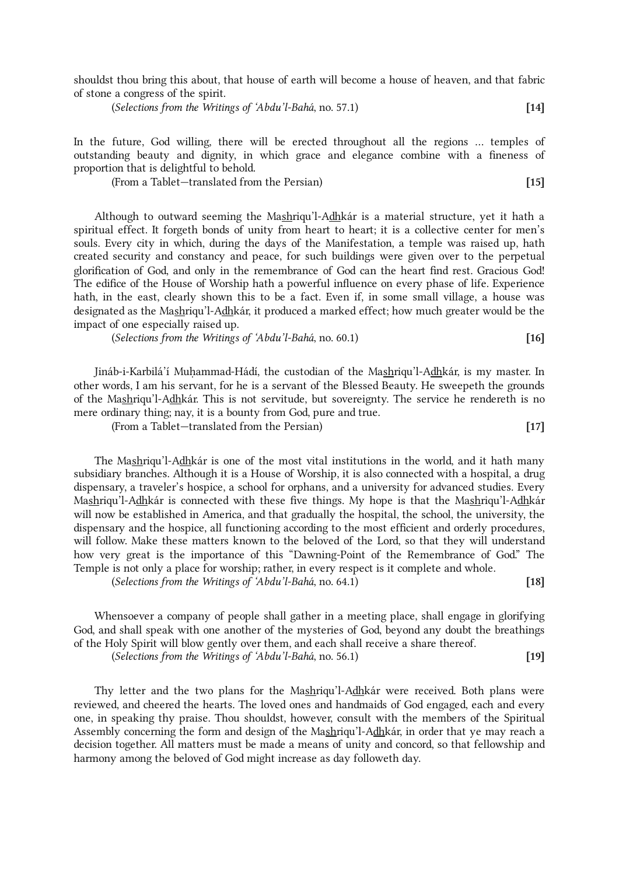shouldst thou bring this about, that house of earth will become a house of heaven, and that fabric of stone a congress of the spirit.

(Selections from the Writings of 'Abdu'l-Bahá, no. 57.1) [14]

In the future, God willing, there will be erected throughout all the regions … temples of outstanding beauty and dignity, in which grace and elegance combine with a fineness of proportion that is delightful to behold.

(From a Tablet—translated from the Persian) [15]

Although to outward seeming the Mashriqu'l-Adhkár is a material structure, yet it hath a spiritual effect. It forgeth bonds of unity from heart to heart; it is a collective center for men's souls. Every city in which, during the days of the Manifestation, a temple was raised up, hath created security and constancy and peace, for such buildings were given over to the perpetual glorification of God, and only in the remembrance of God can the heart find rest. Gracious God! The edifice of the House of Worship hath a powerful influence on every phase of life. Experience hath, in the east, clearly shown this to be a fact. Even if, in some small village, a house was designated as the Mashriqu'l-Adhkár, it produced a marked effect; how much greater would be the impact of one especially raised up.

(Selections from the Writings of 'Abdu'l-Bahá, no. 60.1) [16]

Jináb-i-Karbilá'í Muḥammad-Hádí, the custodian of the Mashriqu'l-Adhkár, is my master. In other words, I am his servant, for he is a servant of the Blessed Beauty. He sweepeth the grounds of the Mashriqu'l-Adhkár. This is not servitude, but sovereignty. The service he rendereth is no mere ordinary thing; nay, it is a bounty from God, pure and true.

(From a Tablet—translated from the Persian) [17]

The Mashriqu'l-Adhkár is one of the most vital institutions in the world, and it hath many subsidiary branches. Although it is a House of Worship, it is also connected with a hospital, a drug dispensary, a traveler's hospice, a school for orphans, and a university for advanced studies. Every Mashriqu'l-Adhkár is connected with these five things. My hope is that the Mashriqu'l-Adhkár will now be established in America, and that gradually the hospital, the school, the university, the dispensary and the hospice, all functioning according to the most efficient and orderly procedures, will follow. Make these matters known to the beloved of the Lord, so that they will understand how very great is the importance of this "Dawning-Point of the Remembrance of God." The Temple is not only a place for worship; rather, in every respect is it complete and whole.

(Selections from the Writings of 'Abdu'l-Bahá, no. 64.1) [18]

Whensoever a company of people shall gather in a meeting place, shall engage in glorifying God, and shall speak with one another of the mysteries of God, beyond any doubt the breathings of the Holy Spirit will blow gently over them, and each shall receive a share thereof.

(Selections from the Writings of 'Abdu'l-Bahá, no. 56.1) [19]

Thy letter and the two plans for the Mashriqu'l-Adhkár were received. Both plans were reviewed, and cheered the hearts. The loved ones and handmaids of God engaged, each and every one, in speaking thy praise. Thou shouldst, however, consult with the members of the Spiritual Assembly concerning the form and design of the Mashriqu'l-Adhkár, in order that ye may reach a decision together. All matters must be made a means of unity and concord, so that fellowship and harmony among the beloved of God might increase as day followeth day.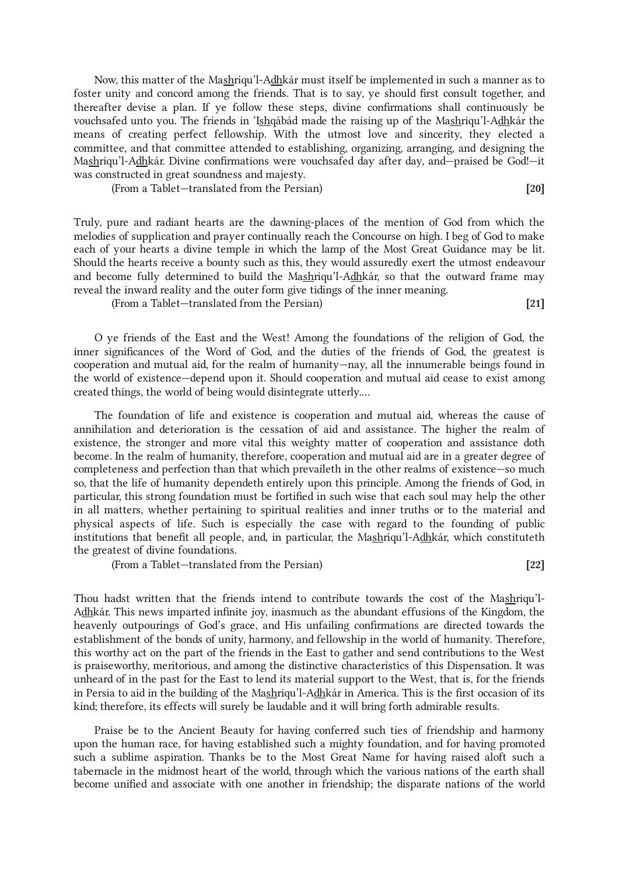Now, this matter of the Mashriqu'l-Adhkár must itself be implemented in such a manner as to foster unity and concord among the friends. That is to say, ye should first consult together, and thereafter devise a plan. If ye follow these steps, divine confirmations shall continuously be vouchsafed unto you. The friends in 'Ishqábád made the raising up of the Mashriqu'l-Adhkár the means of creating perfect fellowship. With the utmost love and sincerity, they elected a committee, and that committee attended to establishing, organizing, arranging, and designing the Mashriqu'l-Adhkár. Divine confirmations were vouchsafed day after day, and—praised be God!—it was constructed in great soundness and majesty.

(From a Tablet—translated from the Persian) [20]

Truly, pure and radiant hearts are the dawning-places of the mention of God from which the melodies of supplication and prayer continually reach the Concourse on high. I beg of God to make each of your hearts a divine temple in which the lamp of the Most Great Guidance may be lit. Should the hearts receive a bounty such as this, they would assuredly exert the utmost endeavour and become fully determined to build the Mashriqu'l-Adhkár, so that the outward frame may reveal the inward reality and the outer form give tidings of the inner meaning.

(From a Tablet—translated from the Persian) [21]

O ye friends of the East and the West! Among the foundations of the religion of God, the inner significances of the Word of God, and the duties of the friends of God, the greatest is cooperation and mutual aid, for the realm of humanity—nay, all the innumerable beings found in the world of existence—depend upon it. Should cooperation and mutual aid cease to exist among created things, the world of being would disintegrate utterly.…

The foundation of life and existence is cooperation and mutual aid, whereas the cause of annihilation and deterioration is the cessation of aid and assistance. The higher the realm of existence, the stronger and more vital this weighty matter of cooperation and assistance doth become. In the realm of humanity, therefore, cooperation and mutual aid are in a greater degree of completeness and perfection than that which prevaileth in the other realms of existence—so much so, that the life of humanity dependeth entirely upon this principle. Among the friends of God, in particular, this strong foundation must be fortified in such wise that each soul may help the other in all matters, whether pertaining to spiritual realities and inner truths or to the material and physical aspects of life. Such is especially the case with regard to the founding of public institutions that benefit all people, and, in particular, the Mashriqu'l-Adhkár, which constituteth the greatest of divine foundations.

(From a Tablet—translated from the Persian) [22]

Thou hadst written that the friends intend to contribute towards the cost of the Mashriqu'l-Adhkár. This news imparted infinite joy, inasmuch as the abundant effusions of the Kingdom, the heavenly outpourings of God's grace, and His unfailing confirmations are directed towards the establishment of the bonds of unity, harmony, and fellowship in the world of humanity. Therefore, this worthy act on the part of the friends in the East to gather and send contributions to the West is praiseworthy, meritorious, and among the distinctive characteristics of this Dispensation. It was unheard of in the past for the East to lend its material support to the West, that is, for the friends in Persia to aid in the building of the Mashriqu'l-Adhkár in America. This is the first occasion of its kind; therefore, its effects will surely be laudable and it will bring forth admirable results.

Praise be to the Ancient Beauty for having conferred such ties of friendship and harmony upon the human race, for having established such a mighty foundation, and for having promoted such a sublime aspiration. Thanks be to the Most Great Name for having raised aloft such a tabernacle in the midmost heart of the world, through which the various nations of the earth shall become unified and associate with one another in friendship; the disparate nations of the world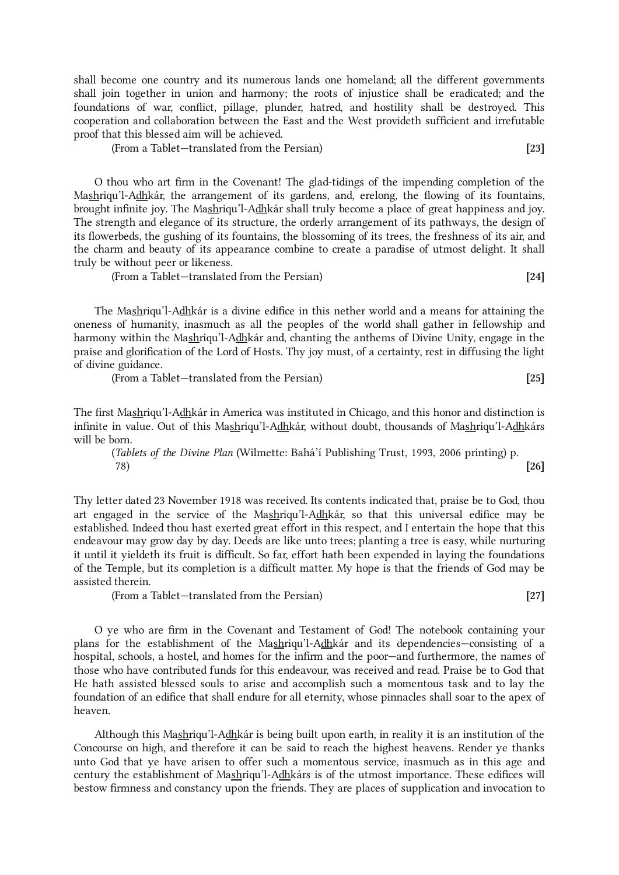shall become one country and its numerous lands one homeland; all the different governments shall join together in union and harmony; the roots of injustice shall be eradicated; and the foundations of war, conflict, pillage, plunder, hatred, and hostility shall be destroyed. This cooperation and collaboration between the East and the West provideth sufficient and irrefutable proof that this blessed aim will be achieved.

(From a Tablet—translated from the Persian) [23]

O thou who art firm in the Covenant! The glad-tidings of the impending completion of the Mashriqu'l-Adhkár, the arrangement of its gardens, and, erelong, the flowing of its fountains, brought infinite joy. The Mashriqu'l-Adhkár shall truly become a place of great happiness and joy. The strength and elegance of its structure, the orderly arrangement of its pathways, the design of its flowerbeds, the gushing of its fountains, the blossoming of its trees, the freshness of its air, and the charm and beauty of its appearance combine to create a paradise of utmost delight. It shall truly be without peer or likeness.

(From a Tablet—translated from the Persian) [24]

The Mashriqu'l-Adhkár is a divine edifice in this nether world and a means for attaining the oneness of humanity, inasmuch as all the peoples of the world shall gather in fellowship and harmony within the Mashriqu'l-Adhkár and, chanting the anthems of Divine Unity, engage in the praise and glorification of the Lord of Hosts. Thy joy must, of a certainty, rest in diffusing the light of divine guidance.

(From a Tablet—translated from the Persian) [25]

The first Mashriqu'l-Adhkár in America was instituted in Chicago, and this honor and distinction is infinite in value. Out of this Mashriqu'l-Adhkár, without doubt, thousands of Mashriqu'l-Adhkárs will be born.

(Tablets of the Divine Plan (Wilmette: Bahá'í Publishing Trust, 1993, 2006 printing) p.  $(26)$ 

Thy letter dated 23 November 1918 was received. Its contents indicated that, praise be to God, thou art engaged in the service of the Mashriqu'l-Adhkár, so that this universal edifice may be established. Indeed thou hast exerted great effort in this respect, and I entertain the hope that this endeavour may grow day by day. Deeds are like unto trees; planting a tree is easy, while nurturing it until it yieldeth its fruit is difficult. So far, effort hath been expended in laying the foundations of the Temple, but its completion is a difficult matter. My hope is that the friends of God may be assisted therein.

(From a Tablet—translated from the Persian) [27]

O ye who are firm in the Covenant and Testament of God! The notebook containing your plans for the establishment of the Mashriqu'l-Adhkár and its dependencies—consisting of a hospital, schools, a hostel, and homes for the infirm and the poor—and furthermore, the names of those who have contributed funds for this endeavour, was received and read. Praise be to God that He hath assisted blessed souls to arise and accomplish such a momentous task and to lay the foundation of an edifice that shall endure for all eternity, whose pinnacles shall soar to the apex of heaven.

Although this Mashriqu'l-Adhkár is being built upon earth, in reality it is an institution of the Concourse on high, and therefore it can be said to reach the highest heavens. Render ye thanks unto God that ye have arisen to offer such a momentous service, inasmuch as in this age and century the establishment of Mashriqu'l-Adhkárs is of the utmost importance. These edifices will bestow firmness and constancy upon the friends. They are places of supplication and invocation to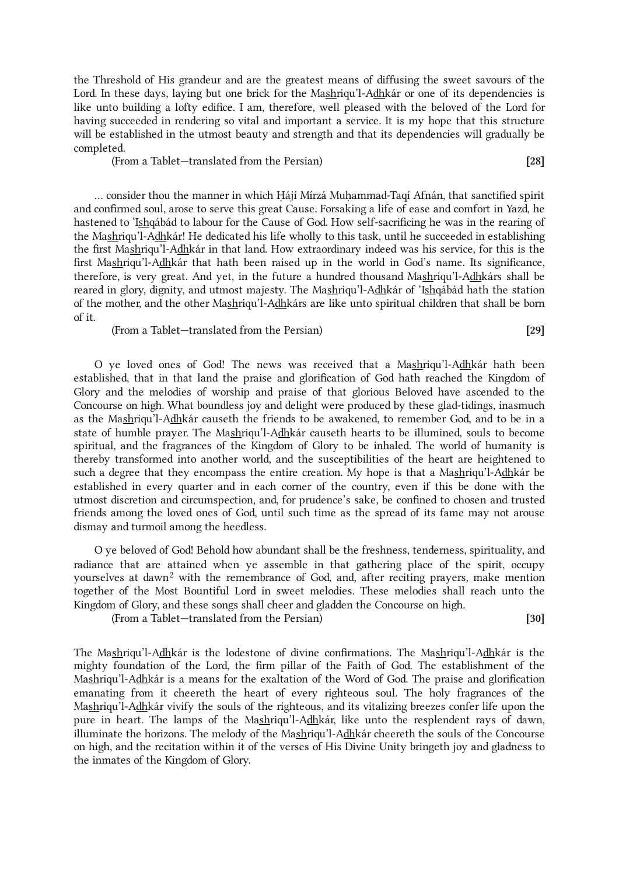the Threshold of His grandeur and are the greatest means of diffusing the sweet savours of the Lord. In these days, laying but one brick for the Mashriqu'l-Adhkár or one of its dependencies is like unto building a lofty edifice. I am, therefore, well pleased with the beloved of the Lord for having succeeded in rendering so vital and important a service. It is my hope that this structure will be established in the utmost beauty and strength and that its dependencies will gradually be completed.

(From a Tablet—translated from the Persian) [28]

… consider thou the manner in which Hájí Mírzá Muhammad-Taqí Afnán, that sanctified spirit and confirmed soul, arose to serve this great Cause. Forsaking a life of ease and comfort in Yazd, he hastened to 'Ishqábád to labour for the Cause of God. How self-sacrificing he was in the rearing of the Mashriqu'l-Adhkár! He dedicated his life wholly to this task, until he succeeded in establishing the first Mashriqu'l-Adhkár in that land. How extraordinary indeed was his service, for this is the first Mashriqu'l-Adhkár that hath been raised up in the world in God's name. Its significance, therefore, is very great. And yet, in the future a hundred thousand Mashriqu'l-Adhkárs shall be reared in glory, dignity, and utmost majesty. The Mashriqu'l-Adhkár of 'Ishqabád hath the station of the mother, and the other Mashriqu'l-Adhkárs are like unto spiritual children that shall be born of it.

(From a Tablet—translated from the Persian) [29]

O ye loved ones of God! The news was received that a Mashriqu'l-Adhkár hath been established, that in that land the praise and glorification of God hath reached the Kingdom of Glory and the melodies of worship and praise of that glorious Beloved have ascended to the Concourse on high. What boundless joy and delight were produced by these glad-tidings, inasmuch as the Mashriqu'l-Adhkár causeth the friends to be awakened, to remember God, and to be in a state of humble prayer. The Mashriqu'l-Adhkár causeth hearts to be illumined, souls to become spiritual, and the fragrances of the Kingdom of Glory to be inhaled. The world of humanity is thereby transformed into another world, and the susceptibilities of the heart are heightened to such a degree that they encompass the entire creation. My hope is that a Mashriqu'l-Adhkár be established in every quarter and in each corner of the country, even if this be done with the utmost discretion and circumspection, and, for prudence's sake, be confined to chosen and trusted friends among the loved ones of God, until such time as the spread of its fame may not arouse dismay and turmoil among the heedless.

<span id="page-15-0"></span>O ye beloved of God! Behold how abundant shall be the freshness, tenderness, spirituality, and radiance that are attained when ye assemble in that gathering place of the spirit, occupy yourselves at dawn [2](#page-37-32) with the remembrance of God, and, after reciting prayers, make mention together of the Most Bountiful Lord in sweet melodies. These melodies shall reach unto the Kingdom of Glory, and these songs shall cheer and gladden the Concourse on high.

(From a Tablet—translated from the Persian) [30]

The Mashriqu'l-Adhkár is the lodestone of divine confirmations. The Mashriqu'l-Adhkár is the mighty foundation of the Lord, the firm pillar of the Faith of God. The establishment of the Mashriqu'l-Adhkár is a means for the exaltation of the Word of God. The praise and glorification emanating from it cheereth the heart of every righteous soul. The holy fragrances of the Mashriqu'l-Adhkár vivify the souls of the righteous, and its vitalizing breezes confer life upon the pure in heart. The lamps of the Mashriqu'l-Adhkár, like unto the resplendent rays of dawn, illuminate the horizons. The melody of the Mashriqu'l-Adhkár cheereth the souls of the Concourse on high, and the recitation within it of the verses of His Divine Unity bringeth joy and gladness to the inmates of the Kingdom of Glory.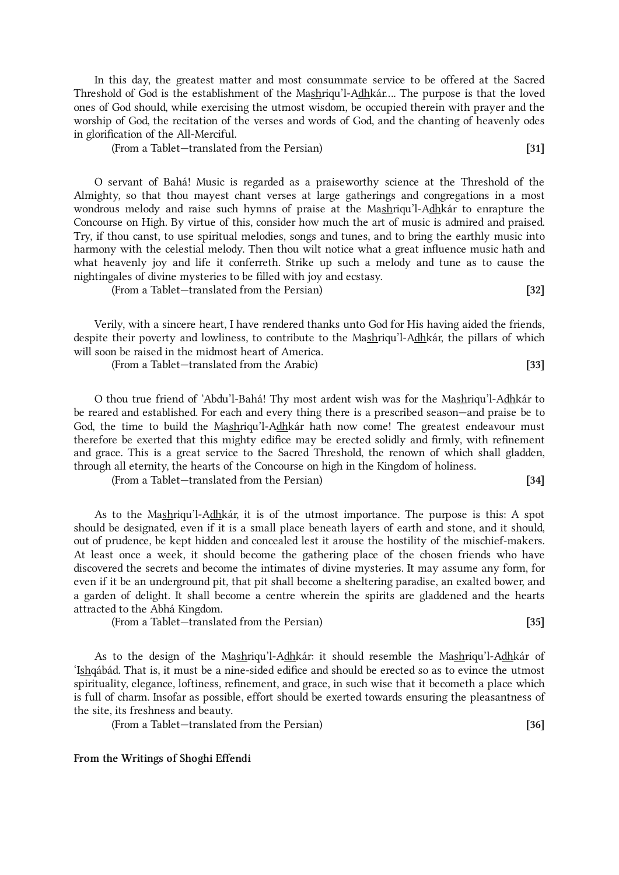In this day, the greatest matter and most consummate service to be offered at the Sacred Threshold of God is the establishment of the Mashriqu'l-Adhkár…. The purpose is that the loved ones of God should, while exercising the utmost wisdom, be occupied therein with prayer and the worship of God, the recitation of the verses and words of God, and the chanting of heavenly odes in glorification of the All-Merciful.

(From a Tablet—translated from the Persian) [31]

O servant of Bahá! Music is regarded as a praiseworthy science at the Threshold of the Almighty, so that thou mayest chant verses at large gatherings and congregations in a most wondrous melody and raise such hymns of praise at the Mashriqu'l-Adhkár to enrapture the Concourse on High. By virtue of this, consider how much the art of music is admired and praised. Try, if thou canst, to use spiritual melodies, songs and tunes, and to bring the earthly music into harmony with the celestial melody. Then thou wilt notice what a great influence music hath and what heavenly joy and life it conferreth. Strike up such a melody and tune as to cause the nightingales of divine mysteries to be filled with joy and ecstasy.

(From a Tablet—translated from the Persian) [32]

Verily, with a sincere heart, I have rendered thanks unto God for His having aided the friends, despite their poverty and lowliness, to contribute to the Mashriqu'l-Adhkár, the pillars of which will soon be raised in the midmost heart of America.

(From a Tablet—translated from the Arabic) [33]

O thou true friend of 'Abdu'l-Bahá! Thy most ardent wish was for the Mashriqu'l-Adhkár to be reared and established. For each and every thing there is a prescribed season—and praise be to God, the time to build the Mashriqu'l-Adhkár hath now come! The greatest endeavour must therefore be exerted that this mighty edifice may be erected solidly and firmly, with refinement and grace. This is a great service to the Sacred Threshold, the renown of which shall gladden, through all eternity, the hearts of the Concourse on high in the Kingdom of holiness.

(From a Tablet—translated from the Persian) [34]

As to the Mashriqu'l-Adhkár, it is of the utmost importance. The purpose is this: A spot should be designated, even if it is a small place beneath layers of earth and stone, and it should, out of prudence, be kept hidden and concealed lest it arouse the hostility of the mischief-makers. At least once a week, it should become the gathering place of the chosen friends who have discovered the secrets and become the intimates of divine mysteries. It may assume any form, for even if it be an underground pit, that pit shall become a sheltering paradise, an exalted bower, and a garden of delight. It shall become a centre wherein the spirits are gladdened and the hearts attracted to the Abhá Kingdom.

(From a Tablet—translated from the Persian) [35]

As to the design of the Mashriqu'l-Adhkár: it should resemble the Mashriqu'l-Adhkár of 'Ishqábád. That is, it must be a nine-sided edifice and should be erected so as to evince the utmost spirituality, elegance, loftiness, refinement, and grace, in such wise that it becometh a place which is full of charm. Insofar as possible, effort should be exerted towards ensuring the pleasantness of the site, its freshness and beauty.

(From a Tablet—translated from the Persian) [36]

## From the Writings of Shoghi Effendi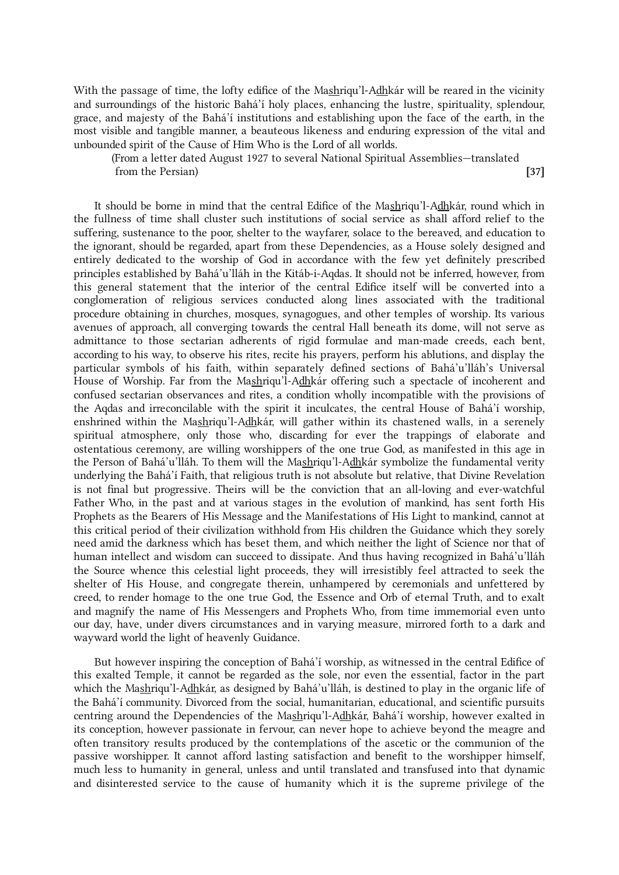With the passage of time, the lofty edifice of the Mashriqu'l-Adhkár will be reared in the vicinity and surroundings of the historic Bahá'í holy places, enhancing the lustre, spirituality, splendour, grace, and majesty of the Bahá'í institutions and establishing upon the face of the earth, in the most visible and tangible manner, a beauteous likeness and enduring expression of the vital and unbounded spirit of the Cause of Him Who is the Lord of all worlds.

(From a letter dated August 1927 to several National Spiritual Assemblies—translated from the Persian) [37]

It should be borne in mind that the central Edifice of the Mashriqu'l-Adhkár, round which in the fullness of time shall cluster such institutions of social service as shall afford relief to the suffering, sustenance to the poor, shelter to the wayfarer, solace to the bereaved, and education to the ignorant, should be regarded, apart from these Dependencies, as a House solely designed and entirely dedicated to the worship of God in accordance with the few yet definitely prescribed principles established by Bahá'u'lláh in the Kitáb-i-Aqdas. It should not be inferred, however, from this general statement that the interior of the central Edifice itself will be converted into a conglomeration of religious services conducted along lines associated with the traditional procedure obtaining in churches, mosques, synagogues, and other temples of worship. Its various avenues of approach, all converging towards the central Hall beneath its dome, will not serve as admittance to those sectarian adherents of rigid formulae and man-made creeds, each bent, according to his way, to observe his rites, recite his prayers, perform his ablutions, and display the particular symbols of his faith, within separately defined sections of Bahá'u'lláh's Universal House of Worship. Far from the Mashriqu'l-Adhkár offering such a spectacle of incoherent and confused sectarian observances and rites, a condition wholly incompatible with the provisions of the Aqdas and irreconcilable with the spirit it inculcates, the central House of Bahá'í worship, enshrined within the Mashriqu'l-Adhkár, will gather within its chastened walls, in a serenely spiritual atmosphere, only those who, discarding for ever the trappings of elaborate and ostentatious ceremony, are willing worshippers of the one true God, as manifested in this age in the Person of Bahá'u'lláh. To them will the Mashriqu'l-Adhkár symbolize the fundamental verity underlying the Bahá'í Faith, that religious truth is not absolute but relative, that Divine Revelation is not final but progressive. Theirs will be the conviction that an all-loving and ever-watchful Father Who, in the past and at various stages in the evolution of mankind, has sent forth His Prophets as the Bearers of His Message and the Manifestations of His Light to mankind, cannot at this critical period of their civilization withhold from His children the Guidance which they sorely need amid the darkness which has beset them, and which neither the light of Science nor that of human intellect and wisdom can succeed to dissipate. And thus having recognized in Bahá'u'lláh the Source whence this celestial light proceeds, they will irresistibly feel attracted to seek the shelter of His House, and congregate therein, unhampered by ceremonials and unfettered by creed, to render homage to the one true God, the Essence and Orb of eternal Truth, and to exalt and magnify the name of His Messengers and Prophets Who, from time immemorial even unto our day, have, under divers circumstances and in varying measure, mirrored forth to a dark and wayward world the light of heavenly Guidance.

But however inspiring the conception of Bahá'í worship, as witnessed in the central Edifice of this exalted Temple, it cannot be regarded as the sole, nor even the essential, factor in the part which the Mashriqu'l-Adhkár, as designed by Bahá'u'lláh, is destined to play in the organic life of the Bahá'í community. Divorced from the social, humanitarian, educational, and scientific pursuits centring around the Dependencies of the Mashriqu'l-Adhkár, Bahá'í worship, however exalted in its conception, however passionate in fervour, can never hope to achieve beyond the meagre and often transitory results produced by the contemplations of the ascetic or the communion of the passive worshipper. It cannot afford lasting satisfaction and benefit to the worshipper himself, much less to humanity in general, unless and until translated and transfused into that dynamic and disinterested service to the cause of humanity which it is the supreme privilege of the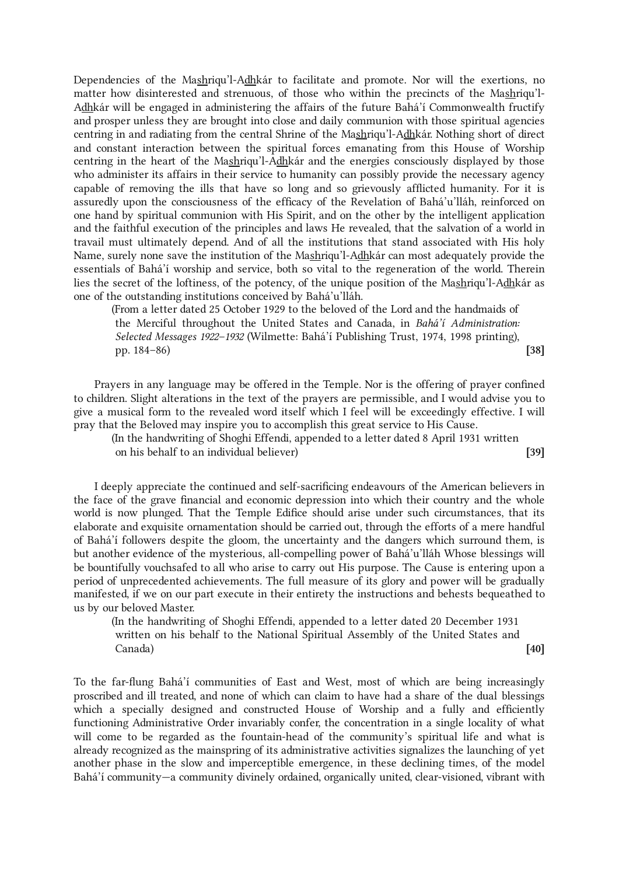Dependencies of the Mashriqu'l-Adhkár to facilitate and promote. Nor will the exertions, no matter how disinterested and strenuous, of those who within the precincts of the Mashriqu'l-Adhkár will be engaged in administering the affairs of the future Bahá'í Commonwealth fructify and prosper unless they are brought into close and daily communion with those spiritual agencies centring in and radiating from the central Shrine of the Mashriqu'l-Adhkár. Nothing short of direct and constant interaction between the spiritual forces emanating from this House of Worship centring in the heart of the Mashriqu'l-Adhkár and the energies consciously displayed by those who administer its affairs in their service to humanity can possibly provide the necessary agency capable of removing the ills that have so long and so grievously afflicted humanity. For it is assuredly upon the consciousness of the efficacy of the Revelation of Bahá'u'lláh, reinforced on one hand by spiritual communion with His Spirit, and on the other by the intelligent application and the faithful execution of the principles and laws He revealed, that the salvation of a world in travail must ultimately depend. And of all the institutions that stand associated with His holy Name, surely none save the institution of the Mashriqu'l-Adhkár can most adequately provide the essentials of Bahá'í worship and service, both so vital to the regeneration of the world. Therein lies the secret of the loftiness, of the potency, of the unique position of the Mashriqu'l-Adhkár as one of the outstanding institutions conceived by Bahá'u'lláh.

(From a letter dated 25 October 1929 to the beloved of the Lord and the handmaids of the Merciful throughout the United States and Canada, in Bahá'í Administration: Selected Messages 1922–1932 (Wilmette: Bahá'í Publishing Trust, 1974, 1998 printing), pp.  $184-86$ ) [38]

Prayers in any language may be offered in the Temple. Nor is the offering of prayer confined to children. Slight alterations in the text of the prayers are permissible, and I would advise you to give a musical form to the revealed word itself which I feel will be exceedingly effective. I will pray that the Beloved may inspire you to accomplish this great service to His Cause.

(In the handwriting of Shoghi Effendi, appended to a letter dated 8 April 1931 written on his behalf to an individual believer) [39]

I deeply appreciate the continued and self-sacrificing endeavours of the American believers in the face of the grave financial and economic depression into which their country and the whole world is now plunged. That the Temple Edifice should arise under such circumstances, that its elaborate and exquisite ornamentation should be carried out, through the efforts of a mere handful of Bahá'í followers despite the gloom, the uncertainty and the dangers which surround them, is but another evidence of the mysterious, all-compelling power of Bahá'u'lláh Whose blessings will be bountifully vouchsafed to all who arise to carry out His purpose. The Cause is entering upon a period of unprecedented achievements. The full measure of its glory and power will be gradually manifested, if we on our part execute in their entirety the instructions and behests bequeathed to us by our beloved Master.

(In the handwriting of Shoghi Effendi, appended to a letter dated 20 December 1931 written on his behalf to the National Spiritual Assembly of the United States and Canada) [40]

To the far-flung Bahá'í communities of East and West, most of which are being increasingly proscribed and ill treated, and none of which can claim to have had a share of the dual blessings which a specially designed and constructed House of Worship and a fully and efficiently functioning Administrative Order invariably confer, the concentration in a single locality of what will come to be regarded as the fountain-head of the community's spiritual life and what is already recognized as the mainspring of its administrative activities signalizes the launching of yet another phase in the slow and imperceptible emergence, in these declining times, of the model Bahá'í community—a community divinely ordained, organically united, clear-visioned, vibrant with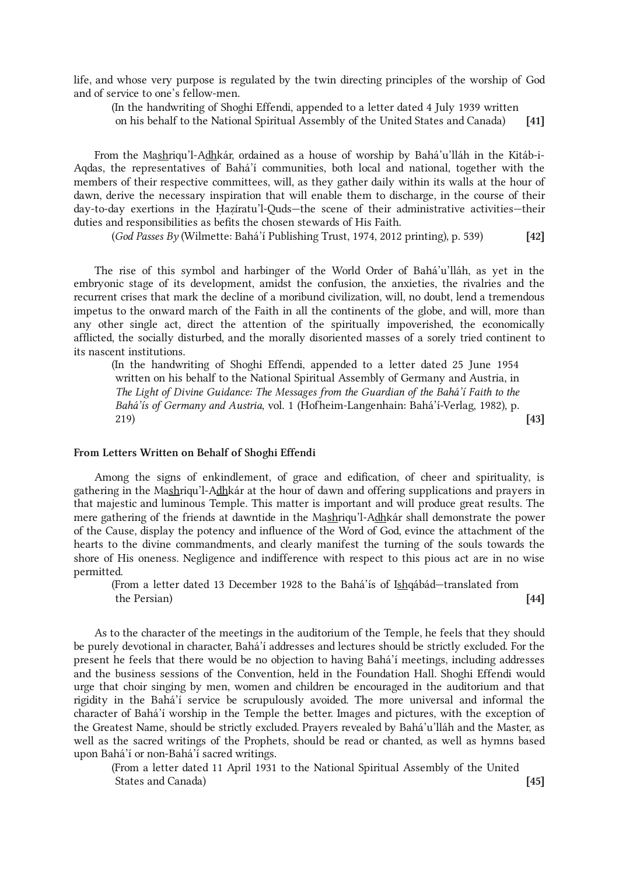life, and whose very purpose is regulated by the twin directing principles of the worship of God and of service to one's fellow-men.

(In the handwriting of Shoghi Effendi, appended to a letter dated 4 July 1939 written on his behalf to the National Spiritual Assembly of the United States and Canada) [41]

From the Mashriqu'l-Adhkár, ordained as a house of worship by Bahá'u'lláh in the Kitáb-i-Aqdas, the representatives of Bahá'í communities, both local and national, together with the members of their respective committees, will, as they gather daily within its walls at the hour of dawn, derive the necessary inspiration that will enable them to discharge, in the course of their day-to-day exertions in the Ḥaẓíratu'l-Quds—the scene of their administrative activities—their duties and responsibilities as befits the chosen stewards of His Faith.

 $(God Passes By (Wilmette: Bahá'í Publishing Trust, 1974, 2012 printing), p. 539)$  [42]

The rise of this symbol and harbinger of the World Order of Bahá'u'lláh, as yet in the embryonic stage of its development, amidst the confusion, the anxieties, the rivalries and the recurrent crises that mark the decline of a moribund civilization, will, no doubt, lend a tremendous impetus to the onward march of the Faith in all the continents of the globe, and will, more than any other single act, direct the attention of the spiritually impoverished, the economically afflicted, the socially disturbed, and the morally disoriented masses of a sorely tried continent to its nascent institutions.

(In the handwriting of Shoghi Effendi, appended to a letter dated 25 June 1954 written on his behalf to the National Spiritual Assembly of Germany and Austria, in The Light of Divine Guidance: The Messages from the Guardian of the Bahá'í Faith to the Bahá'ís of Germany and Austria, vol. 1 (Hofheim-Langenhain: Bahá'í-Verlag, 1982), p. 219) (43)

## From Letters Written on Behalf of Shoghi Effendi

Among the signs of enkindlement, of grace and edification, of cheer and spirituality, is gathering in the Mashriqu'l-Adhkár at the hour of dawn and offering supplications and prayers in that majestic and luminous Temple. This matter is important and will produce great results. The mere gathering of the friends at dawntide in the Mashriqu'l-Adhkár shall demonstrate the power of the Cause, display the potency and influence of the Word of God, evince the attachment of the hearts to the divine commandments, and clearly manifest the turning of the souls towards the shore of His oneness. Negligence and indifference with respect to this pious act are in no wise permitted.

(From a letter dated 13 December 1928 to the Bahá'ís of Ishqábád—translated from the Persian) [44]

As to the character of the meetings in the auditorium of the Temple, he feels that they should be purely devotional in character, Bahá'í addresses and lectures should be strictly excluded. For the present he feels that there would be no objection to having Bahá'í meetings, including addresses and the business sessions of the Convention, held in the Foundation Hall. Shoghi Effendi would urge that choir singing by men, women and children be encouraged in the auditorium and that rigidity in the Bahá'í service be scrupulously avoided. The more universal and informal the character of Bahá'í worship in the Temple the better. Images and pictures, with the exception of the Greatest Name, should be strictly excluded. Prayers revealed by Bahá'u'lláh and the Master, as well as the sacred writings of the Prophets, should be read or chanted, as well as hymns based upon Bahá'í or non-Bahá'í sacred writings.

(From a letter dated 11 April 1931 to the National Spiritual Assembly of the United States and Canada) [45]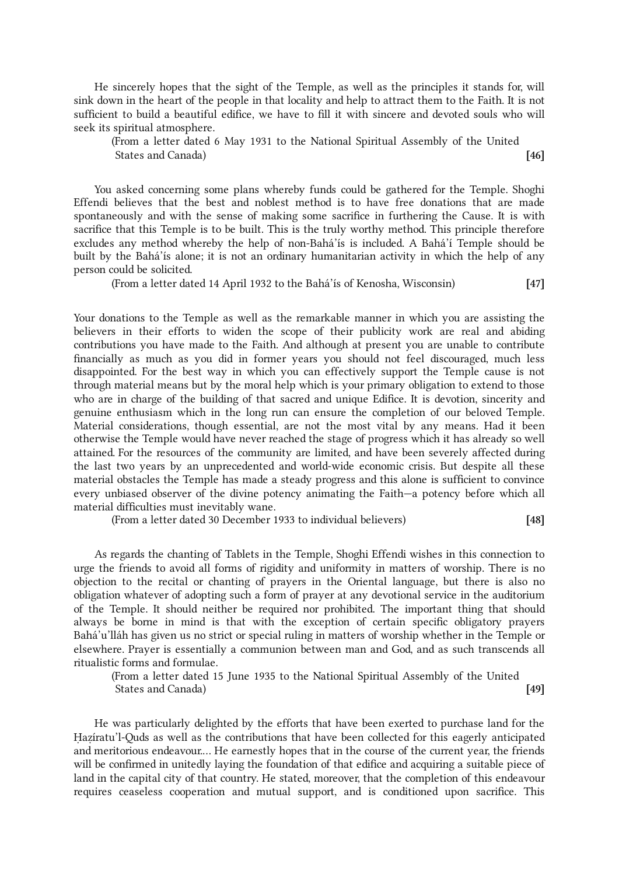He sincerely hopes that the sight of the Temple, as well as the principles it stands for, will sink down in the heart of the people in that locality and help to attract them to the Faith. It is not sufficient to build a beautiful edifice, we have to fill it with sincere and devoted souls who will seek its spiritual atmosphere.

(From a letter dated 6 May 1931 to the National Spiritual Assembly of the United States and Canada) [46]

You asked concerning some plans whereby funds could be gathered for the Temple. Shoghi Effendi believes that the best and noblest method is to have free donations that are made spontaneously and with the sense of making some sacrifice in furthering the Cause. It is with sacrifice that this Temple is to be built. This is the truly worthy method. This principle therefore excludes any method whereby the help of non-Bahá'ís is included. A Bahá'í Temple should be built by the Bahá'ís alone; it is not an ordinary humanitarian activity in which the help of any person could be solicited.

(From a letter dated 14 April 1932 to the Bahá'ís of Kenosha, Wisconsin) [47]

Your donations to the Temple as well as the remarkable manner in which you are assisting the believers in their efforts to widen the scope of their publicity work are real and abiding contributions you have made to the Faith. And although at present you are unable to contribute financially as much as you did in former years you should not feel discouraged, much less disappointed. For the best way in which you can effectively support the Temple cause is not through material means but by the moral help which is your primary obligation to extend to those who are in charge of the building of that sacred and unique Edifice. It is devotion, sincerity and genuine enthusiasm which in the long run can ensure the completion of our beloved Temple. Material considerations, though essential, are not the most vital by any means. Had it been otherwise the Temple would have never reached the stage of progress which it has already so well attained. For the resources of the community are limited, and have been severely affected during the last two years by an unprecedented and world-wide economic crisis. But despite all these material obstacles the Temple has made a steady progress and this alone is sufficient to convince every unbiased observer of the divine potency animating the Faith—a potency before which all material difficulties must inevitably wane.

(From a letter dated 30 December 1933 to individual believers) [48]

As regards the chanting of Tablets in the Temple, Shoghi Effendi wishes in this connection to urge the friends to avoid all forms of rigidity and uniformity in matters of worship. There is no objection to the recital or chanting of prayers in the Oriental language, but there is also no obligation whatever of adopting such a form of prayer at any devotional service in the auditorium of the Temple. It should neither be required nor prohibited. The important thing that should always be borne in mind is that with the exception of certain specific obligatory prayers Bahá'u'lláh has given us no strict or special ruling in matters of worship whether in the Temple or elsewhere. Prayer is essentially a communion between man and God, and as such transcends all ritualistic forms and formulae.

(From a letter dated 15 June 1935 to the National Spiritual Assembly of the United States and Canada) [49]

He was particularly delighted by the efforts that have been exerted to purchase land for the Hazíratu'l-Quds as well as the contributions that have been collected for this eagerly anticipated and meritorious endeavour.… He earnestly hopes that in the course of the current year, the friends will be confirmed in unitedly laying the foundation of that edifice and acquiring a suitable piece of land in the capital city of that country. He stated, moreover, that the completion of this endeavour requires ceaseless cooperation and mutual support, and is conditioned upon sacrifice. This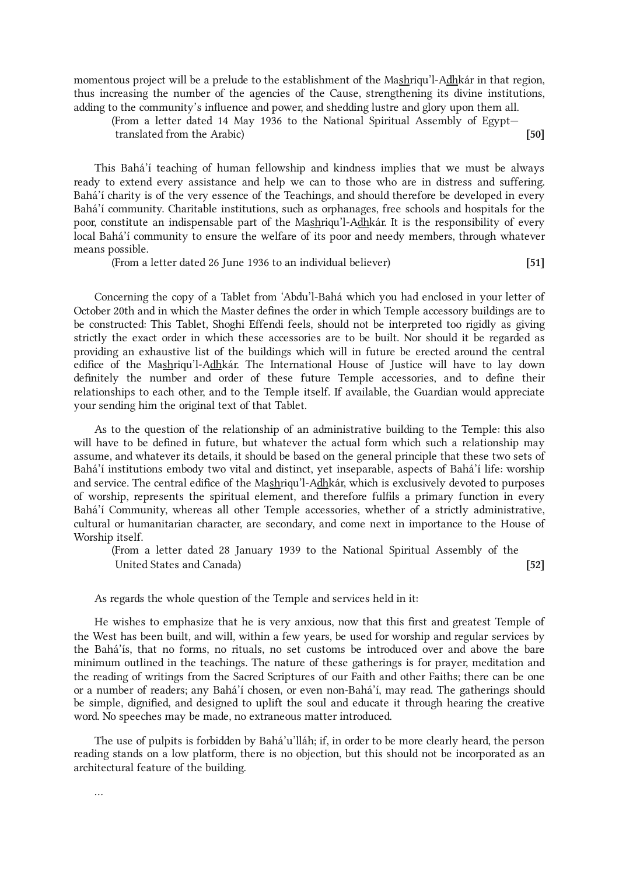momentous project will be a prelude to the establishment of the Mashriqu'l-Adhkár in that region, thus increasing the number of the agencies of the Cause, strengthening its divine institutions, adding to the community's influence and power, and shedding lustre and glory upon them all.

(From a letter dated 14 May 1936 to the National Spiritual Assembly of Egypt translated from the Arabic) [50] [50]

This Bahá'í teaching of human fellowship and kindness implies that we must be always ready to extend every assistance and help we can to those who are in distress and suffering. Bahá'í charity is of the very essence of the Teachings, and should therefore be developed in every Bahá'í community. Charitable institutions, such as orphanages, free schools and hospitals for the poor, constitute an indispensable part of the Mashriqu'l-Adhkár. It is the responsibility of every local Bahá'í community to ensure the welfare of its poor and needy members, through whatever means possible.

(From a letter dated 26 June 1936 to an individual believer) [51]

Concerning the copy of a Tablet from 'Abdu'l-Bahá which you had enclosed in your letter of October 20th and in which the Master defines the order in which Temple accessory buildings are to be constructed: This Tablet, Shoghi Effendi feels, should not be interpreted too rigidly as giving strictly the exact order in which these accessories are to be built. Nor should it be regarded as providing an exhaustive list of the buildings which will in future be erected around the central edifice of the Mashriqu'l-Adhkár. The International House of Justice will have to lay down definitely the number and order of these future Temple accessories, and to define their relationships to each other, and to the Temple itself. If available, the Guardian would appreciate your sending him the original text of that Tablet.

As to the question of the relationship of an administrative building to the Temple: this also will have to be defined in future, but whatever the actual form which such a relationship may assume, and whatever its details, it should be based on the general principle that these two sets of Bahá'í institutions embody two vital and distinct, yet inseparable, aspects of Bahá'í life: worship and service. The central edifice of the Mashriqu'l-Adhkár, which is exclusively devoted to purposes of worship, represents the spiritual element, and therefore fulfils a primary function in every Bahá'í Community, whereas all other Temple accessories, whether of a strictly administrative, cultural or humanitarian character, are secondary, and come next in importance to the House of Worship itself.

(From a letter dated 28 January 1939 to the National Spiritual Assembly of the United States and Canada) [52]

As regards the whole question of the Temple and services held in it:

He wishes to emphasize that he is very anxious, now that this first and greatest Temple of the West has been built, and will, within a few years, be used for worship and regular services by the Bahá'ís, that no forms, no rituals, no set customs be introduced over and above the bare minimum outlined in the teachings. The nature of these gatherings is for prayer, meditation and the reading of writings from the Sacred Scriptures of our Faith and other Faiths; there can be one or a number of readers; any Bahá'í chosen, or even non-Bahá'í, may read. The gatherings should be simple, dignified, and designed to uplift the soul and educate it through hearing the creative word. No speeches may be made, no extraneous matter introduced.

The use of pulpits is forbidden by Bahá'u'lláh; if, in order to be more clearly heard, the person reading stands on a low platform, there is no objection, but this should not be incorporated as an architectural feature of the building.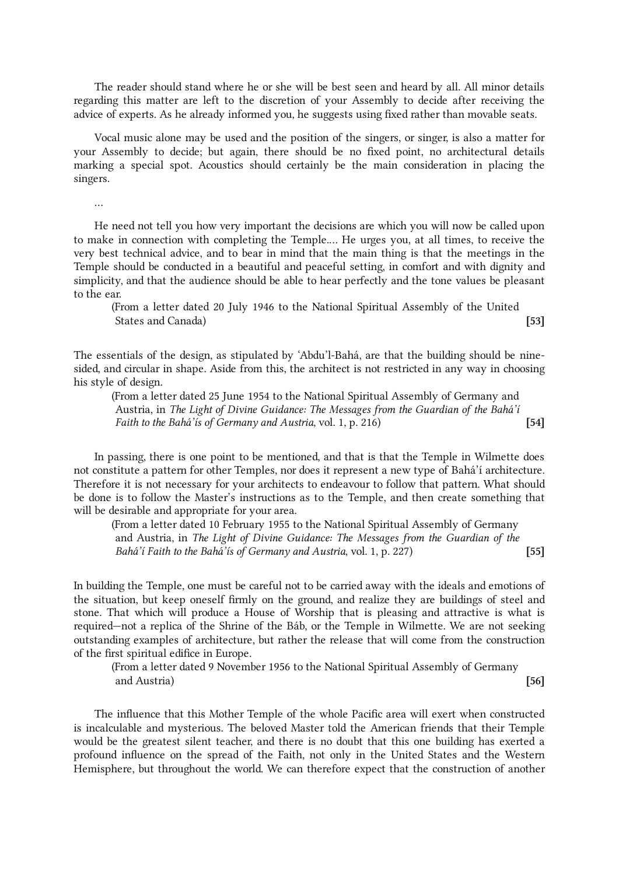The reader should stand where he or she will be best seen and heard by all. All minor details regarding this matter are left to the discretion of your Assembly to decide after receiving the advice of experts. As he already informed you, he suggests using fixed rather than movable seats.

Vocal music alone may be used and the position of the singers, or singer, is also a matter for your Assembly to decide; but again, there should be no fixed point, no architectural details marking a special spot. Acoustics should certainly be the main consideration in placing the singers.

…

He need not tell you how very important the decisions are which you will now be called upon to make in connection with completing the Temple.… He urges you, at all times, to receive the very best technical advice, and to bear in mind that the main thing is that the meetings in the Temple should be conducted in a beautiful and peaceful setting, in comfort and with dignity and simplicity, and that the audience should be able to hear perfectly and the tone values be pleasant to the ear.

(From a letter dated 20 July 1946 to the National Spiritual Assembly of the United States and Canada) [53] [53]

The essentials of the design, as stipulated by 'Abdu'l-Bahá, are that the building should be ninesided, and circular in shape. Aside from this, the architect is not restricted in any way in choosing his style of design.

(From a letter dated 25 June 1954 to the National Spiritual Assembly of Germany and Austria, in The Light of Divine Guidance: The Messages from the Guardian of the Bahá'í Faith to the Bahá'ís of Germany and Austria, vol. 1, p. 216) [54]

In passing, there is one point to be mentioned, and that is that the Temple in Wilmette does not constitute a pattern for other Temples, nor does it represent a new type of Bahá'í architecture. Therefore it is not necessary for your architects to endeavour to follow that pattern. What should be done is to follow the Master's instructions as to the Temple, and then create something that will be desirable and appropriate for your area.

(From a letter dated 10 February 1955 to the National Spiritual Assembly of Germany and Austria, in The Light of Divine Guidance: The Messages from the Guardian of the Bahá'í Faith to the Bahá'ís of Germany and Austria, vol. 1, p. 227) [55]

In building the Temple, one must be careful not to be carried away with the ideals and emotions of the situation, but keep oneself firmly on the ground, and realize they are buildings of steel and stone. That which will produce a House of Worship that is pleasing and attractive is what is required—not a replica of the Shrine of the Báb, or the Temple in Wilmette. We are not seeking outstanding examples of architecture, but rather the release that will come from the construction of the first spiritual edifice in Europe.

(From a letter dated 9 November 1956 to the National Spiritual Assembly of Germany and Austria) [56]

The influence that this Mother Temple of the whole Pacific area will exert when constructed is incalculable and mysterious. The beloved Master told the American friends that their Temple would be the greatest silent teacher, and there is no doubt that this one building has exerted a profound influence on the spread of the Faith, not only in the United States and the Western Hemisphere, but throughout the world. We can therefore expect that the construction of another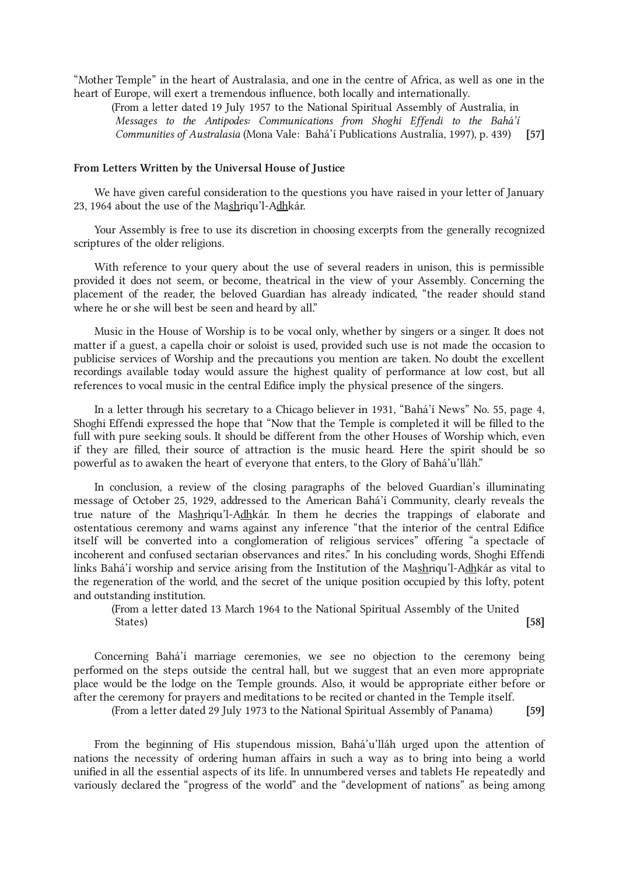"Mother Temple" in the heart of Australasia, and one in the centre of Africa, as well as one in the heart of Europe, will exert a tremendous influence, both locally and internationally.

(From a letter dated 19 July 1957 to the National Spiritual Assembly of Australia, in Messages to the Antipodes: Communications from Shoghi Effendi to the Bahá'í Communities of Australasia (Mona Vale: Bahá'í Publications Australia, 1997), p. 439) [57]

#### From Letters Written by the Universal House of Justice

We have given careful consideration to the questions you have raised in your letter of January 23, 1964 about the use of the Mashriqu'l-Adhkár.

Your Assembly is free to use its discretion in choosing excerpts from the generally recognized scriptures of the older religions.

With reference to your query about the use of several readers in unison, this is permissible provided it does not seem, or become, theatrical in the view of your Assembly. Concerning the placement of the reader, the beloved Guardian has already indicated, "the reader should stand where he or she will best be seen and heard by all."

Music in the House of Worship is to be vocal only, whether by singers or a singer. It does not matter if a guest, a capella choir or soloist is used, provided such use is not made the occasion to publicise services of Worship and the precautions you mention are taken. No doubt the excellent recordings available today would assure the highest quality of performance at low cost, but all references to vocal music in the central Edifice imply the physical presence of the singers.

In a letter through his secretary to a Chicago believer in 1931, "Bahá'í News" No. 55, page 4, Shoghi Effendi expressed the hope that "Now that the Temple is completed it will be filled to the full with pure seeking souls. It should be different from the other Houses of Worship which, even if they are filled, their source of attraction is the music heard. Here the spirit should be so powerful as to awaken the heart of everyone that enters, to the Glory of Bahá'u'lláh."

In conclusion, a review of the closing paragraphs of the beloved Guardian's illuminating message of October 25, 1929, addressed to the American Bahá'í Community, clearly reveals the true nature of the Mashriqu'l-Adhkár. In them he decries the trappings of elaborate and ostentatious ceremony and warns against any inference "that the interior of the central Edifice itself will be converted into a conglomeration of religious services" offering "a spectacle of incoherent and confused sectarian observances and rites." In his concluding words, Shoghi Effendi links Bahá'í worship and service arising from the Institution of the Mashriqu'l-Adhkár as vital to the regeneration of the world, and the secret of the unique position occupied by this lofty, potent and outstanding institution.

(From a letter dated 13 March 1964 to the National Spiritual Assembly of the United States) [58]

Concerning Bahá'í marriage ceremonies, we see no objection to the ceremony being performed on the steps outside the central hall, but we suggest that an even more appropriate place would be the lodge on the Temple grounds. Also, it would be appropriate either before or after the ceremony for prayers and meditations to be recited or chanted in the Temple itself.

(From a letter dated 29 July 1973 to the National Spiritual Assembly of Panama) [59]

From the beginning of His stupendous mission, Bahá'u'lláh urged upon the attention of nations the necessity of ordering human affairs in such a way as to bring into being a world unified in all the essential aspects of its life. In unnumbered verses and tablets He repeatedly and variously declared the "progress of the world" and the "development of nations" as being among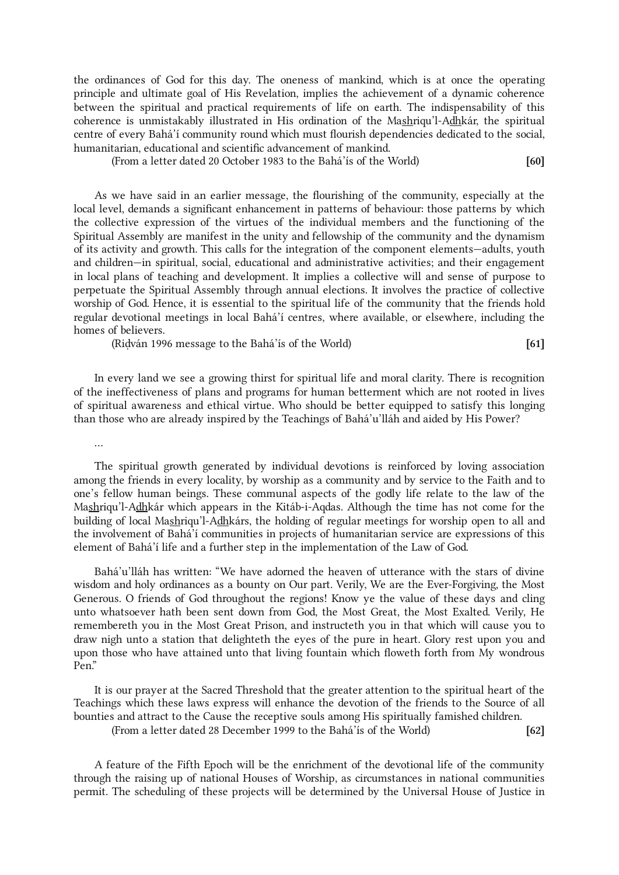the ordinances of God for this day. The oneness of mankind, which is at once the operating principle and ultimate goal of His Revelation, implies the achievement of a dynamic coherence between the spiritual and practical requirements of life on earth. The indispensability of this coherence is unmistakably illustrated in His ordination of the Mashriqu'l-Adhkár, the spiritual centre of every Bahá'í community round which must flourish dependencies dedicated to the social, humanitarian, educational and scientific advancement of mankind.

(From a letter dated 20 October 1983 to the Bahá'ís of the World) [60]

As we have said in an earlier message, the flourishing of the community, especially at the local level, demands a significant enhancement in patterns of behaviour: those patterns by which the collective expression of the virtues of the individual members and the functioning of the Spiritual Assembly are manifest in the unity and fellowship of the community and the dynamism of its activity and growth. This calls for the integration of the component elements—adults, youth and children—in spiritual, social, educational and administrative activities; and their engagement in local plans of teaching and development. It implies a collective will and sense of purpose to perpetuate the Spiritual Assembly through annual elections. It involves the practice of collective worship of God. Hence, it is essential to the spiritual life of the community that the friends hold regular devotional meetings in local Bahá'í centres, where available, or elsewhere, including the homes of believers.

(Ridván 1996 message to the Bahá'ís of the World) [61]

…

In every land we see a growing thirst for spiritual life and moral clarity. There is recognition of the ineffectiveness of plans and programs for human betterment which are not rooted in lives of spiritual awareness and ethical virtue. Who should be better equipped to satisfy this longing than those who are already inspired by the Teachings of Bahá'u'lláh and aided by His Power?

The spiritual growth generated by individual devotions is reinforced by loving association among the friends in every locality, by worship as a community and by service to the Faith and to one's fellow human beings. These communal aspects of the godly life relate to the law of the Mashriqu'l-Adhkár which appears in the Kitáb-i-Aqdas. Although the time has not come for the building of local Mashriqu'l-Adhkárs, the holding of regular meetings for worship open to all and the involvement of Bahá'í communities in projects of humanitarian service are expressions of this element of Bahá'í life and a further step in the implementation of the Law of God.

Bahá'u'lláh has written: "We have adorned the heaven of utterance with the stars of divine wisdom and holy ordinances as a bounty on Our part. Verily, We are the Ever-Forgiving, the Most Generous. O friends of God throughout the regions! Know ye the value of these days and cling unto whatsoever hath been sent down from God, the Most Great, the Most Exalted. Verily, He remembereth you in the Most Great Prison, and instructeth you in that which will cause you to draw nigh unto a station that delighteth the eyes of the pure in heart. Glory rest upon you and upon those who have attained unto that living fountain which floweth forth from My wondrous Pen."

It is our prayer at the Sacred Threshold that the greater attention to the spiritual heart of the Teachings which these laws express will enhance the devotion of the friends to the Source of all bounties and attract to the Cause the receptive souls among His spiritually famished children.

(From a letter dated 28 December 1999 to the Bahá'ís of the World) [62]

A feature of the Fifth Epoch will be the enrichment of the devotional life of the community through the raising up of national Houses of Worship, as circumstances in national communities permit. The scheduling of these projects will be determined by the Universal House of Justice in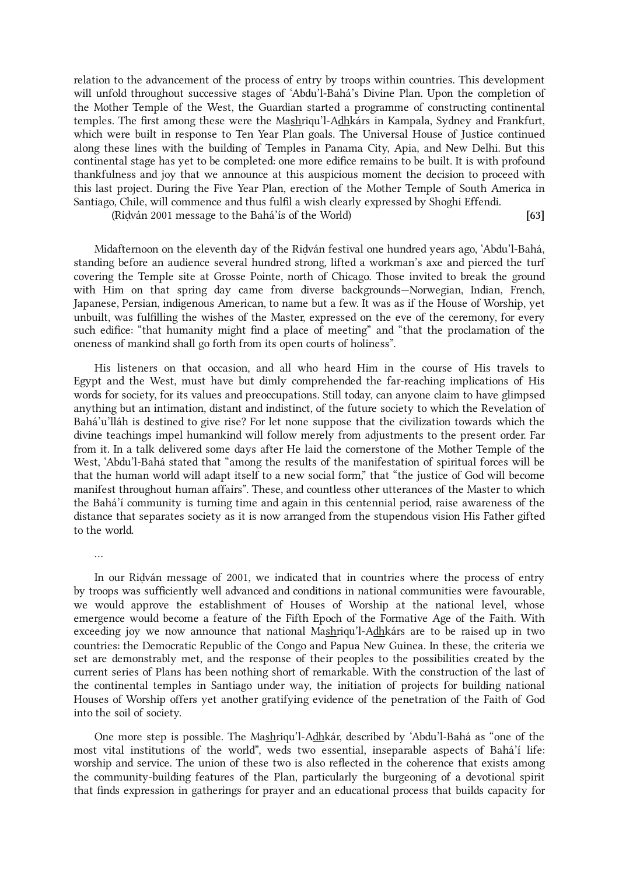relation to the advancement of the process of entry by troops within countries. This development will unfold throughout successive stages of 'Abdu'l-Bahá's Divine Plan. Upon the completion of the Mother Temple of the West, the Guardian started a programme of constructing continental temples. The first among these were the Mashriqu'l-Adhkárs in Kampala, Sydney and Frankfurt, which were built in response to Ten Year Plan goals. The Universal House of Justice continued along these lines with the building of Temples in Panama City, Apia, and New Delhi. But this continental stage has yet to be completed: one more edifice remains to be built. It is with profound thankfulness and joy that we announce at this auspicious moment the decision to proceed with this last project. During the Five Year Plan, erection of the Mother Temple of South America in Santiago, Chile, will commence and thus fulfil a wish clearly expressed by Shoghi Effendi.

(Riḍván 2001 message to the Bahá'ís of the World) [63]

Midafternoon on the eleventh day of the Riḍván festival one hundred years ago, 'Abdu'l-Bahá, standing before an audience several hundred strong, lifted a workman's axe and pierced the turf covering the Temple site at Grosse Pointe, north of Chicago. Those invited to break the ground with Him on that spring day came from diverse backgrounds—Norwegian, Indian, French, Japanese, Persian, indigenous American, to name but a few. It was as if the House of Worship, yet unbuilt, was fulfilling the wishes of the Master, expressed on the eve of the ceremony, for every such edifice: "that humanity might find a place of meeting" and "that the proclamation of the oneness of mankind shall go forth from its open courts of holiness".

His listeners on that occasion, and all who heard Him in the course of His travels to Egypt and the West, must have but dimly comprehended the far-reaching implications of His words for society, for its values and preoccupations. Still today, can anyone claim to have glimpsed anything but an intimation, distant and indistinct, of the future society to which the Revelation of Bahá'u'lláh is destined to give rise? For let none suppose that the civilization towards which the divine teachings impel humankind will follow merely from adjustments to the present order. Far from it. In a talk delivered some days after He laid the cornerstone of the Mother Temple of the West, 'Abdu'l-Bahá stated that "among the results of the manifestation of spiritual forces will be that the human world will adapt itself to a new social form," that "the justice of God will become manifest throughout human affairs". These, and countless other utterances of the Master to which the Bahá'í community is turning time and again in this centennial period, raise awareness of the distance that separates society as it is now arranged from the stupendous vision His Father gifted to the world.

…

In our Riḍván message of 2001, we indicated that in countries where the process of entry by troops was sufficiently well advanced and conditions in national communities were favourable, we would approve the establishment of Houses of Worship at the national level, whose emergence would become a feature of the Fifth Epoch of the Formative Age of the Faith. With exceeding joy we now announce that national Mashriqu'l-Adhkárs are to be raised up in two countries: the Democratic Republic of the Congo and Papua New Guinea. In these, the criteria we set are demonstrably met, and the response of their peoples to the possibilities created by the current series of Plans has been nothing short of remarkable. With the construction of the last of the continental temples in Santiago under way, the initiation of projects for building national Houses of Worship offers yet another gratifying evidence of the penetration of the Faith of God into the soil of society.

One more step is possible. The Mashriqu'l-Adhkár, described by 'Abdu'l-Bahá as "one of the most vital institutions of the world", weds two essential, inseparable aspects of Bahá'í life: worship and service. The union of these two is also reflected in the coherence that exists among the community-building features of the Plan, particularly the burgeoning of a devotional spirit that finds expression in gatherings for prayer and an educational process that builds capacity for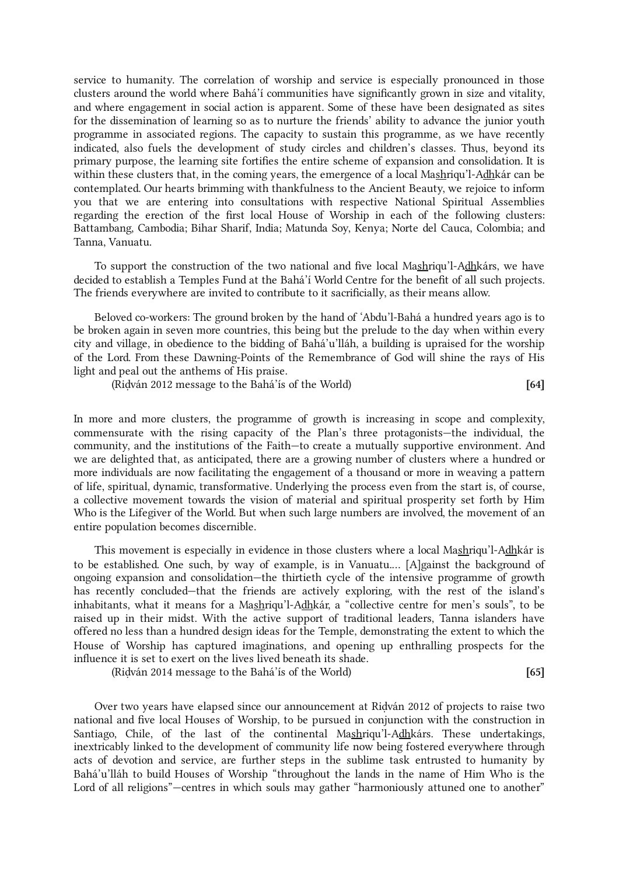service to humanity. The correlation of worship and service is especially pronounced in those clusters around the world where Bahá'í communities have significantly grown in size and vitality, and where engagement in social action is apparent. Some of these have been designated as sites for the dissemination of learning so as to nurture the friends' ability to advance the junior youth programme in associated regions. The capacity to sustain this programme, as we have recently indicated, also fuels the development of study circles and children's classes. Thus, beyond its primary purpose, the learning site fortifies the entire scheme of expansion and consolidation. It is within these clusters that, in the coming years, the emergence of a local Mashriqu'l-Adhkár can be contemplated. Our hearts brimming with thankfulness to the Ancient Beauty, we rejoice to inform you that we are entering into consultations with respective National Spiritual Assemblies regarding the erection of the first local House of Worship in each of the following clusters: Battambang, Cambodia; Bihar Sharif, India; Matunda Soy, Kenya; Norte del Cauca, Colombia; and Tanna, Vanuatu.

To support the construction of the two national and five local Mashriqu'l-Adhkárs, we have decided to establish a Temples Fund at the Bahá'í World Centre for the benefit of all such projects. The friends everywhere are invited to contribute to it sacrificially, as their means allow.

Beloved co-workers: The ground broken by the hand of 'Abdu'l-Bahá a hundred years ago is to be broken again in seven more countries, this being but the prelude to the day when within every city and village, in obedience to the bidding of Bahá'u'lláh, a building is upraised for the worship of the Lord. From these Dawning-Points of the Remembrance of God will shine the rays of His light and peal out the anthems of His praise.

(Ridván 2012 message to the Bahá'ís of the World) [64]

In more and more clusters, the programme of growth is increasing in scope and complexity, commensurate with the rising capacity of the Plan's three protagonists—the individual, the community, and the institutions of the Faith—to create a mutually supportive environment. And we are delighted that, as anticipated, there are a growing number of clusters where a hundred or more individuals are now facilitating the engagement of a thousand or more in weaving a pattern of life, spiritual, dynamic, transformative. Underlying the process even from the start is, of course, a collective movement towards the vision of material and spiritual prosperity set forth by Him Who is the Lifegiver of the World. But when such large numbers are involved, the movement of an entire population becomes discernible.

This movement is especially in evidence in those clusters where a local Mashriqu'l-Adhkár is to be established. One such, by way of example, is in Vanuatu.… [A]gainst the background of ongoing expansion and consolidation—the thirtieth cycle of the intensive programme of growth has recently concluded—that the friends are actively exploring, with the rest of the island's inhabitants, what it means for a Mashriqu'l-Adhkár, a "collective centre for men's souls", to be raised up in their midst. With the active support of traditional leaders, Tanna islanders have offered no less than a hundred design ideas for the Temple, demonstrating the extent to which the House of Worship has captured imaginations, and opening up enthralling prospects for the influence it is set to exert on the lives lived beneath its shade.

(Ridván 2014 message to the Bahá'ís of the World) [65]

Over two years have elapsed since our announcement at Riḍván 2012 of projects to raise two national and five local Houses of Worship, to be pursued in conjunction with the construction in Santiago, Chile, of the last of the continental Mashriqu'l-Adhkárs. These undertakings, inextricably linked to the development of community life now being fostered everywhere through acts of devotion and service, are further steps in the sublime task entrusted to humanity by Bahá'u'lláh to build Houses of Worship "throughout the lands in the name of Him Who is the Lord of all religions"—centres in which souls may gather "harmoniously attuned one to another"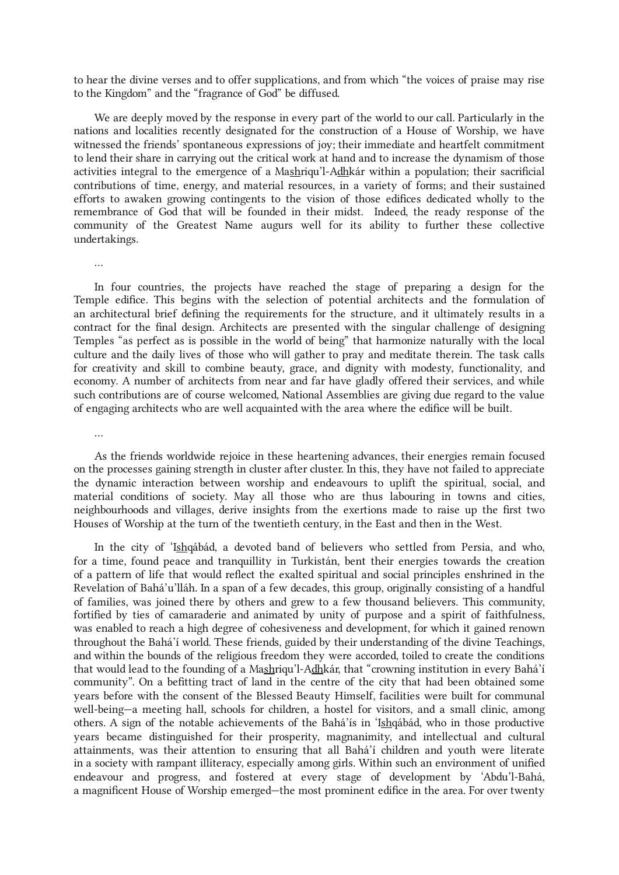to hear the divine verses and to offer supplications, and from which "the voices of praise may rise to the Kingdom" and the "fragrance of God" be diffused.

We are deeply moved by the response in every part of the world to our call. Particularly in the nations and localities recently designated for the construction of a House of Worship, we have witnessed the friends' spontaneous expressions of joy; their immediate and heartfelt commitment to lend their share in carrying out the critical work at hand and to increase the dynamism of those activities integral to the emergence of a Mashriqu'l-Adhkár within a population; their sacrificial contributions of time, energy, and material resources, in a variety of forms; and their sustained efforts to awaken growing contingents to the vision of those edifices dedicated wholly to the remembrance of God that will be founded in their midst. Indeed, the ready response of the community of the Greatest Name augurs well for its ability to further these collective undertakings.

…

In four countries, the projects have reached the stage of preparing a design for the Temple edifice. This begins with the selection of potential architects and the formulation of an architectural brief defining the requirements for the structure, and it ultimately results in a contract for the final design. Architects are presented with the singular challenge of designing Temples "as perfect as is possible in the world of being" that harmonize naturally with the local culture and the daily lives of those who will gather to pray and meditate therein. The task calls for creativity and skill to combine beauty, grace, and dignity with modesty, functionality, and economy. A number of architects from near and far have gladly offered their services, and while such contributions are of course welcomed, National Assemblies are giving due regard to the value of engaging architects who are well acquainted with the area where the edifice will be built.

…

As the friends worldwide rejoice in these heartening advances, their energies remain focused on the processes gaining strength in cluster after cluster. In this, they have not failed to appreciate the dynamic interaction between worship and endeavours to uplift the spiritual, social, and material conditions of society. May all those who are thus labouring in towns and cities, neighbourhoods and villages, derive insights from the exertions made to raise up the first two Houses of Worship at the turn of the twentieth century, in the East and then in the West.

In the city of 'Ishqábád, a devoted band of believers who settled from Persia, and who, for a time, found peace and tranquillity in Turkistán, bent their energies towards the creation of a pattern of life that would reflect the exalted spiritual and social principles enshrined in the Revelation of Bahá'u'lláh. In a span of a few decades, this group, originally consisting of a handful of families, was joined there by others and grew to a few thousand believers. This community, fortified by ties of camaraderie and animated by unity of purpose and a spirit of faithfulness, was enabled to reach a high degree of cohesiveness and development, for which it gained renown throughout the Bahá'í world. These friends, guided by their understanding of the divine Teachings, and within the bounds of the religious freedom they were accorded, toiled to create the conditions that would lead to the founding of a Mashriqu'l-Adhkár, that "crowning institution in every Bahá'í community". On a befitting tract of land in the centre of the city that had been obtained some years before with the consent of the Blessed Beauty Himself, facilities were built for communal well-being—a meeting hall, schools for children, a hostel for visitors, and a small clinic, among others. A sign of the notable achievements of the Bahá'ís in 'Ishqábád, who in those productive years became distinguished for their prosperity, magnanimity, and intellectual and cultural attainments, was their attention to ensuring that all Bahá'í children and youth were literate in a society with rampant illiteracy, especially among girls. Within such an environment of unified endeavour and progress, and fostered at every stage of development by 'Abdu'l-Bahá, a magnificent House of Worship emerged—the most prominent edifice in the area. For over twenty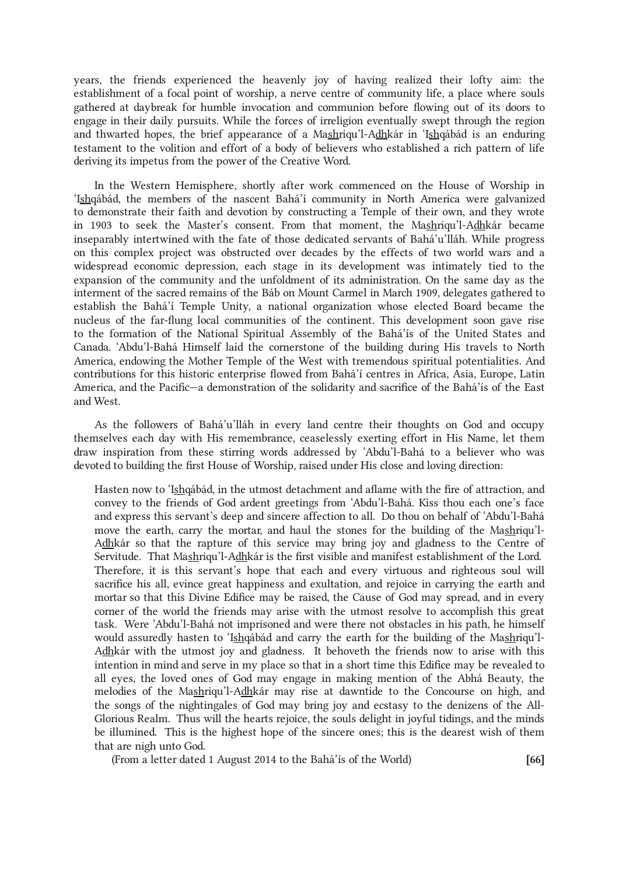years, the friends experienced the heavenly joy of having realized their lofty aim: the establishment of a focal point of worship, a nerve centre of community life, a place where souls gathered at daybreak for humble invocation and communion before flowing out of its doors to engage in their daily pursuits. While the forces of irreligion eventually swept through the region and thwarted hopes, the brief appearance of a Mashriqu'l-Adhkár in 'Ishqábád is an enduring testament to the volition and effort of a body of believers who established a rich pattern of life deriving its impetus from the power of the Creative Word.

In the Western Hemisphere, shortly after work commenced on the House of Worship in 'Ishqábád, the members of the nascent Bahá'í community in North America were galvanized to demonstrate their faith and devotion by constructing a Temple of their own, and they wrote in 1903 to seek the Master's consent. From that moment, the Mashriqu'l-Adhkár became inseparably intertwined with the fate of those dedicated servants of Bahá'u'lláh. While progress on this complex project was obstructed over decades by the effects of two world wars and a widespread economic depression, each stage in its development was intimately tied to the expansion of the community and the unfoldment of its administration. On the same day as the interment of the sacred remains of the Báb on Mount Carmel in March 1909, delegates gathered to establish the Bahá'í Temple Unity, a national organization whose elected Board became the nucleus of the far-flung local communities of the continent. This development soon gave rise to the formation of the National Spiritual Assembly of the Bahá'ís of the United States and Canada. 'Abdu'l-Bahá Himself laid the cornerstone of the building during His travels to North America, endowing the Mother Temple of the West with tremendous spiritual potentialities. And contributions for this historic enterprise flowed from Bahá'í centres in Africa, Asia, Europe, Latin America, and the Pacific—a demonstration of the solidarity and sacrifice of the Bahá'ís of the East and West.

As the followers of Bahá'u'lláh in every land centre their thoughts on God and occupy themselves each day with His remembrance, ceaselessly exerting effort in His Name, let them draw inspiration from these stirring words addressed by 'Abdu'l-Bahá to a believer who was devoted to building the first House of Worship, raised under His close and loving direction:

Hasten now to 'Ishqábád, in the utmost detachment and aflame with the fire of attraction, and convey to the friends of God ardent greetings from 'Abdu'l-Bahá. Kiss thou each one's face and express this servant's deep and sincere affection to all. Do thou on behalf of 'Abdu'l-Bahá move the earth, carry the mortar, and haul the stones for the building of the Mashriqu'l-Adhkár so that the rapture of this service may bring joy and gladness to the Centre of Servitude. That Mashriqu'l-Adhkár is the first visible and manifest establishment of the Lord. Therefore, it is this servant's hope that each and every virtuous and righteous soul will sacrifice his all, evince great happiness and exultation, and rejoice in carrying the earth and mortar so that this Divine Edifice may be raised, the Cause of God may spread, and in every corner of the world the friends may arise with the utmost resolve to accomplish this great task. Were 'Abdu'l-Bahá not imprisoned and were there not obstacles in his path, he himself would assuredly hasten to 'Ishqabad and carry the earth for the building of the Mashriqu'l-Adhkár with the utmost joy and gladness. It behoveth the friends now to arise with this intention in mind and serve in my place so that in a short time this Edifice may be revealed to all eyes, the loved ones of God may engage in making mention of the Abhá Beauty, the melodies of the Mashriqu'l-Adhkár may rise at dawntide to the Concourse on high, and the songs of the nightingales of God may bring joy and ecstasy to the denizens of the All-Glorious Realm. Thus will the hearts rejoice, the souls delight in joyful tidings, and the minds be illumined. This is the highest hope of the sincere ones; this is the dearest wish of them that are nigh unto God.

(From a letter dated 1 August 2014 to the Bahá'ís of the World) [66]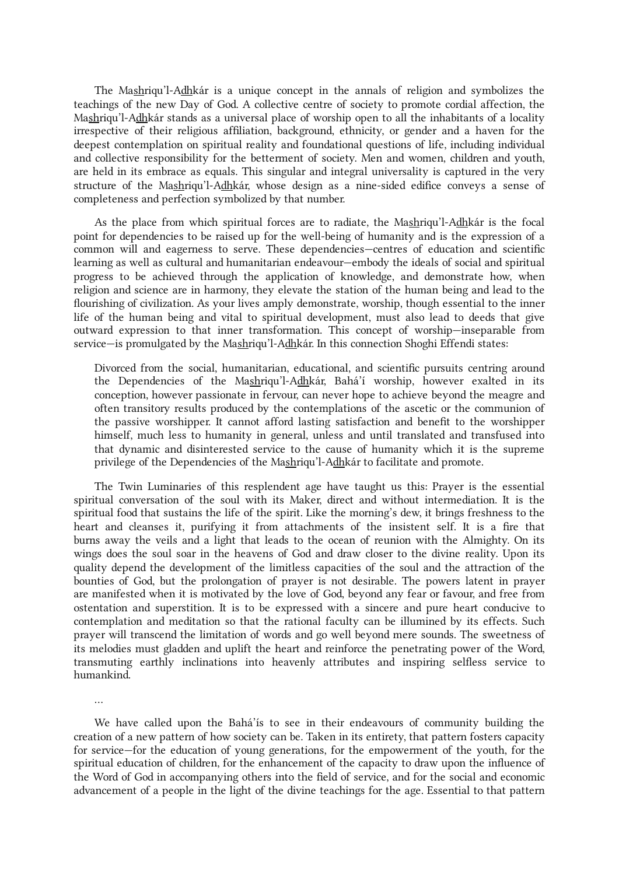The Mashriqu'l-Adhkár is a unique concept in the annals of religion and symbolizes the teachings of the new Day of God. A collective centre of society to promote cordial affection, the Mashriqu'l-Adhkár stands as a universal place of worship open to all the inhabitants of a locality irrespective of their religious affiliation, background, ethnicity, or gender and a haven for the deepest contemplation on spiritual reality and foundational questions of life, including individual and collective responsibility for the betterment of society. Men and women, children and youth, are held in its embrace as equals. This singular and integral universality is captured in the very structure of the Mashriqu'l-Adhkár, whose design as a nine-sided edifice conveys a sense of completeness and perfection symbolized by that number.

As the place from which spiritual forces are to radiate, the Mashriqu'l-Adhkár is the focal point for dependencies to be raised up for the well-being of humanity and is the expression of a common will and eagerness to serve. These dependencies—centres of education and scientific learning as well as cultural and humanitarian endeavour—embody the ideals of social and spiritual progress to be achieved through the application of knowledge, and demonstrate how, when religion and science are in harmony, they elevate the station of the human being and lead to the flourishing of civilization. As your lives amply demonstrate, worship, though essential to the inner life of the human being and vital to spiritual development, must also lead to deeds that give outward expression to that inner transformation. This concept of worship—inseparable from service—is promulgated by the Mashriqu'l-Adhkár. In this connection Shoghi Effendi states:

Divorced from the social, humanitarian, educational, and scientific pursuits centring around the Dependencies of the Mashriqu'l-Adhkár, Bahá'í worship, however exalted in its conception, however passionate in fervour, can never hope to achieve beyond the meagre and often transitory results produced by the contemplations of the ascetic or the communion of the passive worshipper. It cannot afford lasting satisfaction and benefit to the worshipper himself, much less to humanity in general, unless and until translated and transfused into that dynamic and disinterested service to the cause of humanity which it is the supreme privilege of the Dependencies of the Mashriqu'l-Adhkár to facilitate and promote.

The Twin Luminaries of this resplendent age have taught us this: Prayer is the essential spiritual conversation of the soul with its Maker, direct and without intermediation. It is the spiritual food that sustains the life of the spirit. Like the morning's dew, it brings freshness to the heart and cleanses it, purifying it from attachments of the insistent self. It is a fire that burns away the veils and a light that leads to the ocean of reunion with the Almighty. On its wings does the soul soar in the heavens of God and draw closer to the divine reality. Upon its quality depend the development of the limitless capacities of the soul and the attraction of the bounties of God, but the prolongation of prayer is not desirable. The powers latent in prayer are manifested when it is motivated by the love of God, beyond any fear or favour, and free from ostentation and superstition. It is to be expressed with a sincere and pure heart conducive to contemplation and meditation so that the rational faculty can be illumined by its effects. Such prayer will transcend the limitation of words and go well beyond mere sounds. The sweetness of its melodies must gladden and uplift the heart and reinforce the penetrating power of the Word, transmuting earthly inclinations into heavenly attributes and inspiring selfless service to humankind.

We have called upon the Bahá'ís to see in their endeavours of community building the creation of a new pattern of how society can be. Taken in its entirety, that pattern fosters capacity for service—for the education of young generations, for the empowerment of the youth, for the spiritual education of children, for the enhancement of the capacity to draw upon the influence of the Word of God in accompanying others into the field of service, and for the social and economic advancement of a people in the light of the divine teachings for the age. Essential to that pattern

…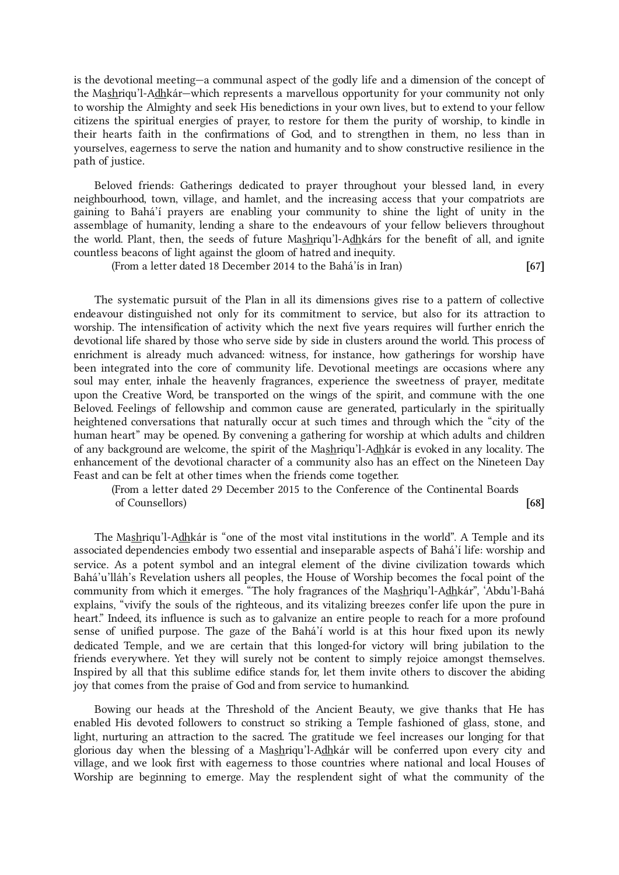is the devotional meeting—a communal aspect of the godly life and a dimension of the concept of the Mashriqu'l-Adhkár—which represents a marvellous opportunity for your community not only to worship the Almighty and seek His benedictions in your own lives, but to extend to your fellow citizens the spiritual energies of prayer, to restore for them the purity of worship, to kindle in their hearts faith in the confirmations of God, and to strengthen in them, no less than in yourselves, eagerness to serve the nation and humanity and to show constructive resilience in the path of justice.

Beloved friends: Gatherings dedicated to prayer throughout your blessed land, in every neighbourhood, town, village, and hamlet, and the increasing access that your compatriots are gaining to Bahá'í prayers are enabling your community to shine the light of unity in the assemblage of humanity, lending a share to the endeavours of your fellow believers throughout the world. Plant, then, the seeds of future Mashriqu'l-Adhkárs for the benefit of all, and ignite countless beacons of light against the gloom of hatred and inequity.

(From a letter dated 18 December 2014 to the Bahá'ís in Iran) [67]

The systematic pursuit of the Plan in all its dimensions gives rise to a pattern of collective endeavour distinguished not only for its commitment to service, but also for its attraction to worship. The intensification of activity which the next five years requires will further enrich the devotional life shared by those who serve side by side in clusters around the world. This process of enrichment is already much advanced: witness, for instance, how gatherings for worship have been integrated into the core of community life. Devotional meetings are occasions where any soul may enter, inhale the heavenly fragrances, experience the sweetness of prayer, meditate upon the Creative Word, be transported on the wings of the spirit, and commune with the one Beloved. Feelings of fellowship and common cause are generated, particularly in the spiritually heightened conversations that naturally occur at such times and through which the "city of the human heart" may be opened. By convening a gathering for worship at which adults and children of any background are welcome, the spirit of the Mashriqu'l-Adhkár is evoked in any locality. The enhancement of the devotional character of a community also has an effect on the Nineteen Day Feast and can be felt at other times when the friends come together.

(From a letter dated 29 December 2015 to the Conference of the Continental Boards of Counsellors) [68]

The Mashriqu'l-Adhkár is "one of the most vital institutions in the world". A Temple and its associated dependencies embody two essential and inseparable aspects of Bahá'í life: worship and service. As a potent symbol and an integral element of the divine civilization towards which Bahá'u'lláh's Revelation ushers all peoples, the House of Worship becomes the focal point of the community from which it emerges. "The holy fragrances of the Mashriqu'l-Adhkár", 'Abdu'l-Bahá explains, "vivify the souls of the righteous, and its vitalizing breezes confer life upon the pure in heart." Indeed, its influence is such as to galvanize an entire people to reach for a more profound sense of unified purpose. The gaze of the Bahá'í world is at this hour fixed upon its newly dedicated Temple, and we are certain that this longed-for victory will bring jubilation to the friends everywhere. Yet they will surely not be content to simply rejoice amongst themselves. Inspired by all that this sublime edifice stands for, let them invite others to discover the abiding joy that comes from the praise of God and from service to humankind.

Bowing our heads at the Threshold of the Ancient Beauty, we give thanks that He has enabled His devoted followers to construct so striking a Temple fashioned of glass, stone, and light, nurturing an attraction to the sacred. The gratitude we feel increases our longing for that glorious day when the blessing of a Mashriqu'l-Adhkár will be conferred upon every city and village, and we look first with eagerness to those countries where national and local Houses of Worship are beginning to emerge. May the resplendent sight of what the community of the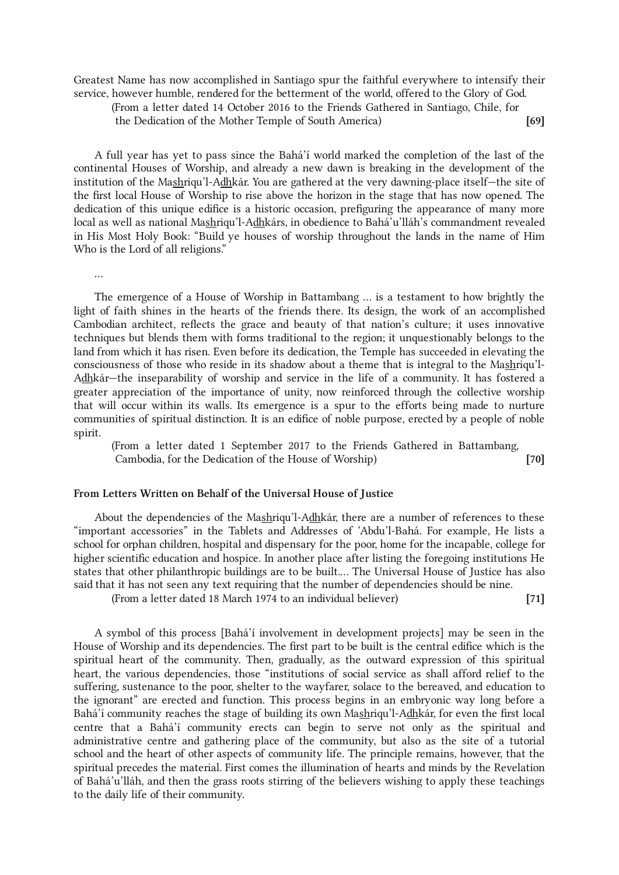Greatest Name has now accomplished in Santiago spur the faithful everywhere to intensify their service, however humble, rendered for the betterment of the world, offered to the Glory of God.

(From a letter dated 14 October 2016 to the Friends Gathered in Santiago, Chile, for the Dedication of the Mother Temple of South America) [69]

A full year has yet to pass since the Bahá'í world marked the completion of the last of the continental Houses of Worship, and already a new dawn is breaking in the development of the institution of the Mashriqu'l-Adhkár. You are gathered at the very dawning-place itself—the site of the first local House of Worship to rise above the horizon in the stage that has now opened. The dedication of this unique edifice is a historic occasion, prefiguring the appearance of many more local as well as national Mashriqu'l-Adhkárs, in obedience to Bahá'u'lláh's commandment revealed in His Most Holy Book: "Build ye houses of worship throughout the lands in the name of Him Who is the Lord of all religions."

…

The emergence of a House of Worship in Battambang … is a testament to how brightly the light of faith shines in the hearts of the friends there. Its design, the work of an accomplished Cambodian architect, reflects the grace and beauty of that nation's culture; it uses innovative techniques but blends them with forms traditional to the region; it unquestionably belongs to the land from which it has risen. Even before its dedication, the Temple has succeeded in elevating the consciousness of those who reside in its shadow about a theme that is integral to the Mashriqu'l-Adhkár—the inseparability of worship and service in the life of a community. It has fostered a greater appreciation of the importance of unity, now reinforced through the collective worship that will occur within its walls. Its emergence is a spur to the efforts being made to nurture communities of spiritual distinction. It is an edifice of noble purpose, erected by a people of noble spirit.

(From a letter dated 1 September 2017 to the Friends Gathered in Battambang, Cambodia, for the Dedication of the House of Worship) [70]

#### From Letters Written on Behalf of the Universal House of Justice

About the dependencies of the Mashriqu'l-Adhkár, there are a number of references to these "important accessories" in the Tablets and Addresses of 'Abdu'l-Bahá. For example, He lists a school for orphan children, hospital and dispensary for the poor, home for the incapable, college for higher scientific education and hospice. In another place after listing the foregoing institutions He states that other philanthropic buildings are to be built.… The Universal House of Justice has also said that it has not seen any text requiring that the number of dependencies should be nine.

(From a letter dated 18 March 1974 to an individual believer) [71]

A symbol of this process [Bahá'í involvement in development projects] may be seen in the House of Worship and its dependencies. The first part to be built is the central edifice which is the spiritual heart of the community. Then, gradually, as the outward expression of this spiritual heart, the various dependencies, those "institutions of social service as shall afford relief to the suffering, sustenance to the poor, shelter to the wayfarer, solace to the bereaved, and education to the ignorant" are erected and function. This process begins in an embryonic way long before a Bahá'í community reaches the stage of building its own Mashriqu'l-Adhkár, for even the first local centre that a Bahá'í community erects can begin to serve not only as the spiritual and administrative centre and gathering place of the community, but also as the site of a tutorial school and the heart of other aspects of community life. The principle remains, however, that the spiritual precedes the material. First comes the illumination of hearts and minds by the Revelation of Bahá'u'lláh, and then the grass roots stirring of the believers wishing to apply these teachings to the daily life of their community.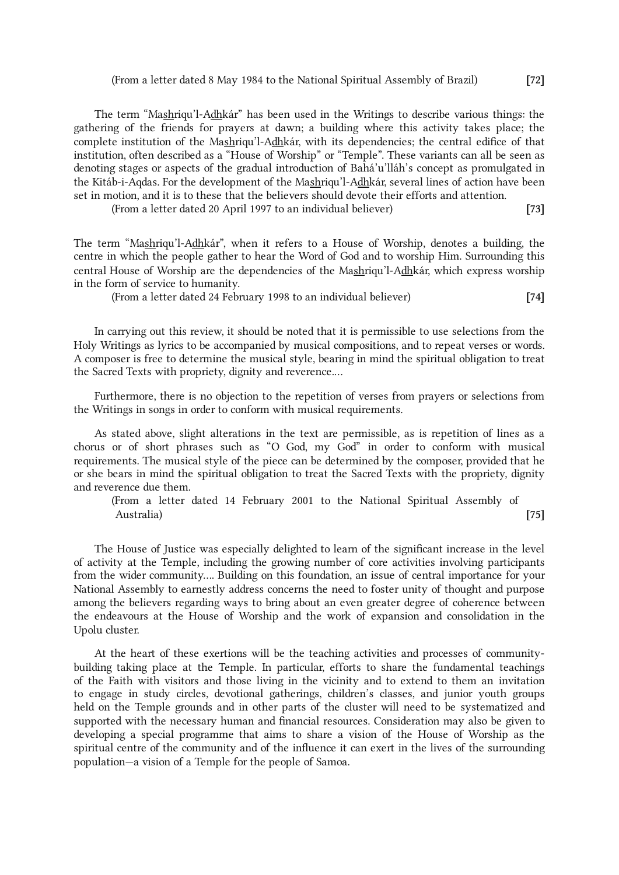The term "Mashriqu'l-Adhkár" has been used in the Writings to describe various things: the gathering of the friends for prayers at dawn; a building where this activity takes place; the complete institution of the Mashriqu'l-Adhkár, with its dependencies; the central edifice of that institution, often described as a "House of Worship" or "Temple". These variants can all be seen as denoting stages or aspects of the gradual introduction of Bahá'u'lláh's concept as promulgated in the Kitáb-i-Aqdas. For the development of the Mashriqu'l-Adhkár, several lines of action have been set in motion, and it is to these that the believers should devote their efforts and attention.

(From a letter dated 20 April 1997 to an individual believer) [73]

The term "Mashriqu'l-Adhkár", when it refers to a House of Worship, denotes a building, the centre in which the people gather to hear the Word of God and to worship Him. Surrounding this central House of Worship are the dependencies of the Mashriqu'l-Adhkár, which express worship in the form of service to humanity.

(From a letter dated 24 February 1998 to an individual believer) [74]

In carrying out this review, it should be noted that it is permissible to use selections from the Holy Writings as lyrics to be accompanied by musical compositions, and to repeat verses or words. A composer is free to determine the musical style, bearing in mind the spiritual obligation to treat the Sacred Texts with propriety, dignity and reverence.…

Furthermore, there is no objection to the repetition of verses from prayers or selections from the Writings in songs in order to conform with musical requirements.

As stated above, slight alterations in the text are permissible, as is repetition of lines as a chorus or of short phrases such as "O God, my God" in order to conform with musical requirements. The musical style of the piece can be determined by the composer, provided that he or she bears in mind the spiritual obligation to treat the Sacred Texts with the propriety, dignity and reverence due them.

(From a letter dated 14 February 2001 to the National Spiritual Assembly of Australia) [75]

The House of Justice was especially delighted to learn of the significant increase in the level of activity at the Temple, including the growing number of core activities involving participants from the wider community…. Building on this foundation, an issue of central importance for your National Assembly to earnestly address concerns the need to foster unity of thought and purpose among the believers regarding ways to bring about an even greater degree of coherence between the endeavours at the House of Worship and the work of expansion and consolidation in the Upolu cluster.

At the heart of these exertions will be the teaching activities and processes of communitybuilding taking place at the Temple. In particular, efforts to share the fundamental teachings of the Faith with visitors and those living in the vicinity and to extend to them an invitation to engage in study circles, devotional gatherings, children's classes, and junior youth groups held on the Temple grounds and in other parts of the cluster will need to be systematized and supported with the necessary human and financial resources. Consideration may also be given to developing a special programme that aims to share a vision of the House of Worship as the spiritual centre of the community and of the influence it can exert in the lives of the surrounding population—a vision of a Temple for the people of Samoa.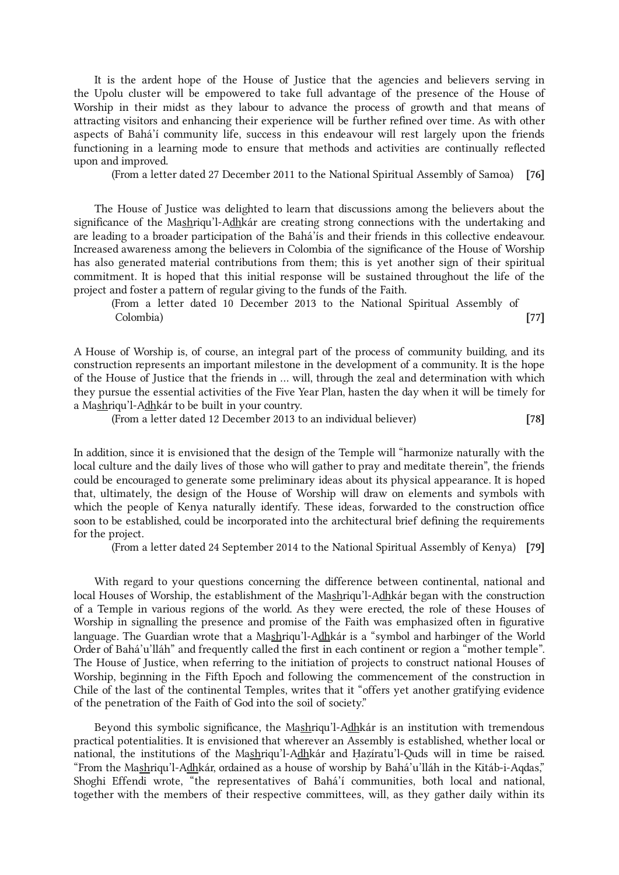It is the ardent hope of the House of Justice that the agencies and believers serving in the Upolu cluster will be empowered to take full advantage of the presence of the House of Worship in their midst as they labour to advance the process of growth and that means of attracting visitors and enhancing their experience will be further refined over time. As with other aspects of Bahá'í community life, success in this endeavour will rest largely upon the friends functioning in a learning mode to ensure that methods and activities are continually reflected upon and improved.

(From a letter dated 27 December 2011 to the National Spiritual Assembly of Samoa) [76]

The House of Justice was delighted to learn that discussions among the believers about the significance of the Mashriqu'l-Adhkár are creating strong connections with the undertaking and are leading to a broader participation of the Bahá'ís and their friends in this collective endeavour. Increased awareness among the believers in Colombia of the significance of the House of Worship has also generated material contributions from them; this is yet another sign of their spiritual commitment. It is hoped that this initial response will be sustained throughout the life of the project and foster a pattern of regular giving to the funds of the Faith.

(From a letter dated 10 December 2013 to the National Spiritual Assembly of Colombia) [77]

A House of Worship is, of course, an integral part of the process of community building, and its construction represents an important milestone in the development of a community. It is the hope of the House of Justice that the friends in … will, through the zeal and determination with which they pursue the essential activities of the Five Year Plan, hasten the day when it will be timely for a Mashriqu'l-Adhkár to be built in your country.

(From a letter dated 12 December 2013 to an individual believer) [78]

In addition, since it is envisioned that the design of the Temple will "harmonize naturally with the local culture and the daily lives of those who will gather to pray and meditate therein", the friends could be encouraged to generate some preliminary ideas about its physical appearance. It is hoped that, ultimately, the design of the House of Worship will draw on elements and symbols with which the people of Kenya naturally identify. These ideas, forwarded to the construction office soon to be established, could be incorporated into the architectural brief defining the requirements for the project.

(From a letter dated 24 September 2014 to the National Spiritual Assembly of Kenya) [79]

With regard to your questions concerning the difference between continental, national and local Houses of Worship, the establishment of the Mashriqu'l-Adhkár began with the construction of a Temple in various regions of the world. As they were erected, the role of these Houses of Worship in signalling the presence and promise of the Faith was emphasized often in figurative language. The Guardian wrote that a Mashriqu'l-Adhkár is a "symbol and harbinger of the World Order of Bahá'u'lláh" and frequently called the first in each continent or region a "mother temple". The House of Justice, when referring to the initiation of projects to construct national Houses of Worship, beginning in the Fifth Epoch and following the commencement of the construction in Chile of the last of the continental Temples, writes that it "offers yet another gratifying evidence of the penetration of the Faith of God into the soil of society."

Beyond this symbolic significance, the Mashriqu'l-Adhkár is an institution with tremendous practical potentialities. It is envisioned that wherever an Assembly is established, whether local or national, the institutions of the Mashriqu'l-Adhkár and Ḥaẓíratu'l-Quds will in time be raised. "From the Mashriqu'l-Adhkár, ordained as a house of worship by Bahá'u'lláh in the Kitáb-i-Aqdas," Shoghi Effendi wrote, "the representatives of Bahá'í communities, both local and national, together with the members of their respective committees, will, as they gather daily within its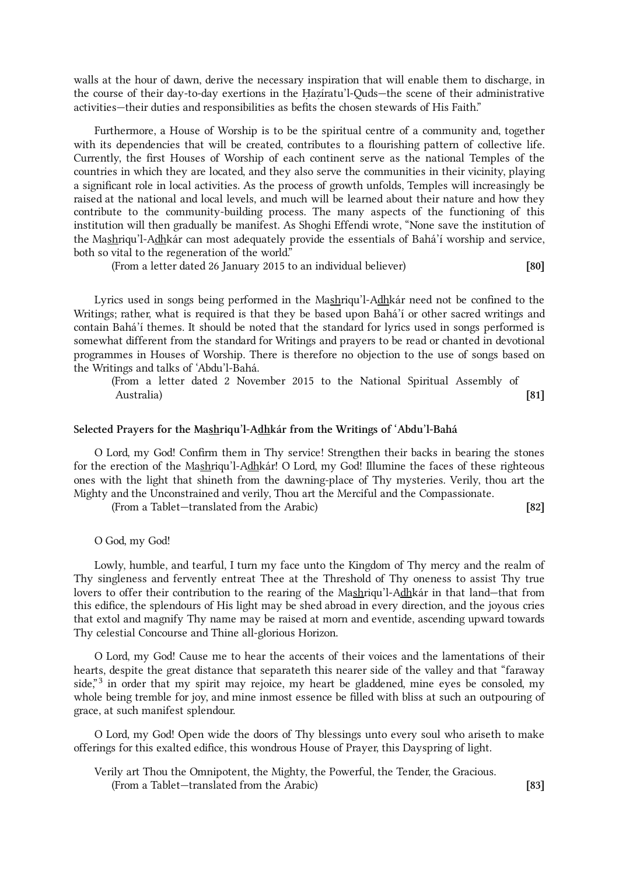walls at the hour of dawn, derive the necessary inspiration that will enable them to discharge, in the course of their day-to-day exertions in the Ḥaẓíratu'l-Quds—the scene of their administrative activities—their duties and responsibilities as befits the chosen stewards of His Faith."

Furthermore, a House of Worship is to be the spiritual centre of a community and, together with its dependencies that will be created, contributes to a flourishing pattern of collective life. Currently, the first Houses of Worship of each continent serve as the national Temples of the countries in which they are located, and they also serve the communities in their vicinity, playing a significant role in local activities. As the process of growth unfolds, Temples will increasingly be raised at the national and local levels, and much will be learned about their nature and how they contribute to the community-building process. The many aspects of the functioning of this institution will then gradually be manifest. As Shoghi Effendi wrote, "None save the institution of the Mashriqu'l-Adhkár can most adequately provide the essentials of Bahá'í worship and service, both so vital to the regeneration of the world."

(From a letter dated 26 January 2015 to an individual believer) [80]

Lyrics used in songs being performed in the Mashriqu'l-Adhkár need not be confined to the Writings; rather, what is required is that they be based upon Bahá'í or other sacred writings and contain Bahá'í themes. It should be noted that the standard for lyrics used in songs performed is somewhat different from the standard for Writings and prayers to be read or chanted in devotional programmes in Houses of Worship. There is therefore no objection to the use of songs based on the Writings and talks of 'Abdu'l-Bahá.

(From a letter dated 2 November 2015 to the National Spiritual Assembly of Australia) [81] **Example 2018 Example 2018** 

## Selected Prayers for the Mashriqu'l-Adhkár from the Writings of 'Abdu'l-Bahá

O Lord, my God! Confirm them in Thy service! Strengthen their backs in bearing the stones for the erection of the Mashriqu'l-Adhkár! O Lord, my God! Illumine the faces of these righteous ones with the light that shineth from the dawning-place of Thy mysteries. Verily, thou art the Mighty and the Unconstrained and verily, Thou art the Merciful and the Compassionate.

(From a Tablet—translated from the Arabic) [82]

## O God, my God!

Lowly, humble, and tearful, I turn my face unto the Kingdom of Thy mercy and the realm of Thy singleness and fervently entreat Thee at the Threshold of Thy oneness to assist Thy true lovers to offer their contribution to the rearing of the Mashriqu'l-Adhkár in that land—that from this edifice, the splendours of His light may be shed abroad in every direction, and the joyous cries that extol and magnify Thy name may be raised at morn and eventide, ascending upward towards Thy celestial Concourse and Thine all-glorious Horizon.

<span id="page-34-0"></span>O Lord, my God! Cause me to hear the accents of their voices and the lamentations of their hearts, despite the great distance that separateth this nearer side of the valley and that "faraway side,"<sup>[3](#page-37-33)</sup> in order that my spirit may rejoice, my heart be gladdened, mine eyes be consoled, my whole being tremble for joy, and mine inmost essence be filled with bliss at such an outpouring of grace, at such manifest splendour.

O Lord, my God! Open wide the doors of Thy blessings unto every soul who ariseth to make offerings for this exalted edifice, this wondrous House of Prayer, this Dayspring of light.

Verily art Thou the Omnipotent, the Mighty, the Powerful, the Tender, the Gracious. (From a Tablet—translated from the Arabic) [83]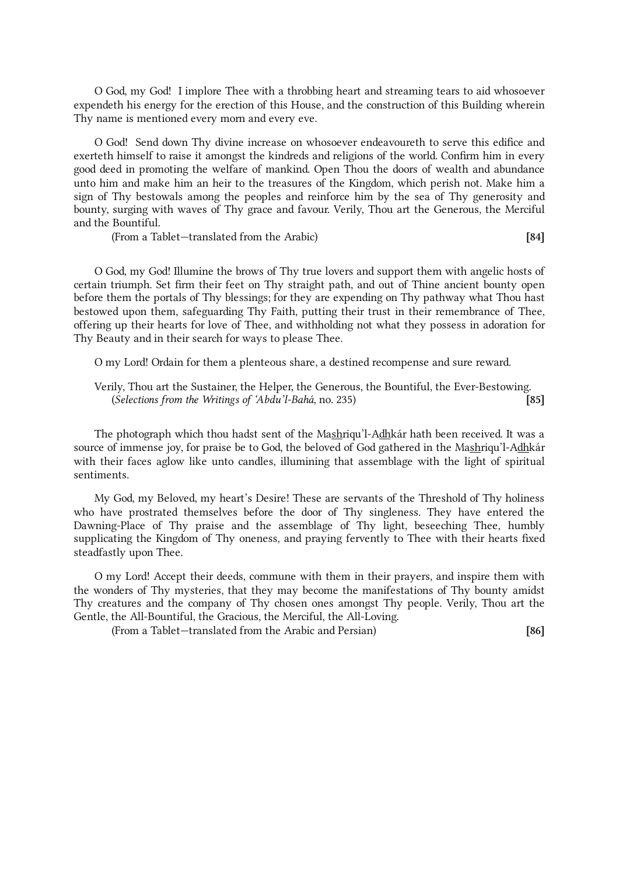O God, my God! I implore Thee with a throbbing heart and streaming tears to aid whosoever expendeth his energy for the erection of this House, and the construction of this Building wherein Thy name is mentioned every morn and every eve.

O God! Send down Thy divine increase on whosoever endeavoureth to serve this edifice and exerteth himself to raise it amongst the kindreds and religions of the world. Confirm him in every good deed in promoting the welfare of mankind. Open Thou the doors of wealth and abundance unto him and make him an heir to the treasures of the Kingdom, which perish not. Make him a sign of Thy bestowals among the peoples and reinforce him by the sea of Thy generosity and bounty, surging with waves of Thy grace and favour. Verily, Thou art the Generous, the Merciful and the Bountiful.

(From a Tablet—translated from the Arabic) [84]

O God, my God! Illumine the brows of Thy true lovers and support them with angelic hosts of certain triumph. Set firm their feet on Thy straight path, and out of Thine ancient bounty open before them the portals of Thy blessings; for they are expending on Thy pathway what Thou hast bestowed upon them, safeguarding Thy Faith, putting their trust in their remembrance of Thee, offering up their hearts for love of Thee, and withholding not what they possess in adoration for Thy Beauty and in their search for ways to please Thee.

O my Lord! Ordain for them a plenteous share, a destined recompense and sure reward.

Verily, Thou art the Sustainer, the Helper, the Generous, the Bountiful, the Ever-Bestowing. (Selections from the Writings of 'Abdu'l-Bahá, no. 235) [85]

The photograph which thou hadst sent of the Mashriqu'l-Adhkár hath been received. It was a source of immense joy, for praise be to God, the beloved of God gathered in the Mashriqu'l-Adhkár with their faces aglow like unto candles, illumining that assemblage with the light of spiritual sentiments.

My God, my Beloved, my heart's Desire! These are servants of the Threshold of Thy holiness who have prostrated themselves before the door of Thy singleness. They have entered the Dawning-Place of Thy praise and the assemblage of Thy light, beseeching Thee, humbly supplicating the Kingdom of Thy oneness, and praying fervently to Thee with their hearts fixed steadfastly upon Thee.

O my Lord! Accept their deeds, commune with them in their prayers, and inspire them with the wonders of Thy mysteries, that they may become the manifestations of Thy bounty amidst Thy creatures and the company of Thy chosen ones amongst Thy people. Verily, Thou art the Gentle, the All-Bountiful, the Gracious, the Merciful, the All-Loving.

(From a Tablet—translated from the Arabic and Persian) [86]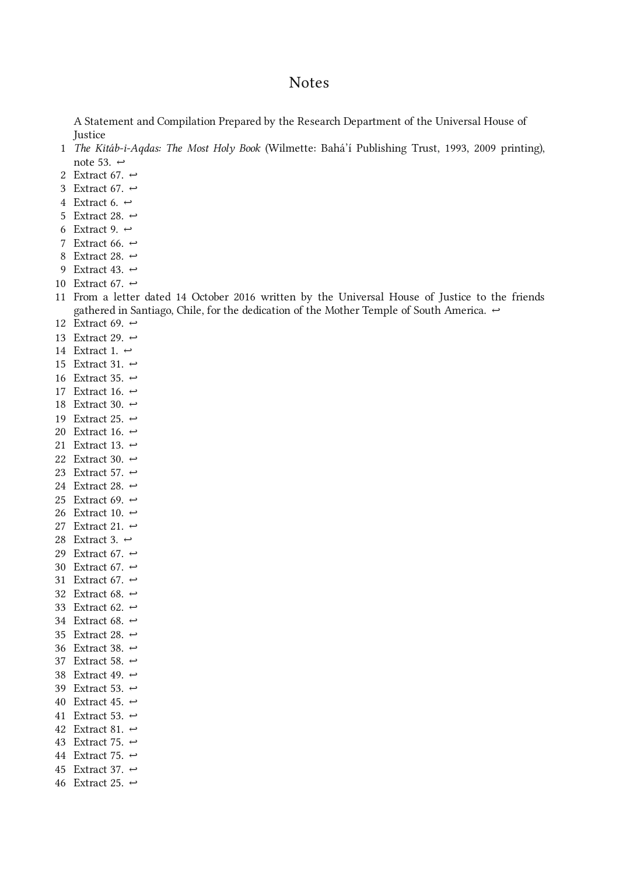# Notes

A Statement and Compilation Prepared by the Research Department of the Universal House of Justice

- <span id="page-36-0"></span>1 The Kitáb-i-Aqdas: The Most Holy Book (Wilmette: Bahá'í Publishing Trust, 1993, 2009 printing), note 53.  $\leftrightarrow$
- <span id="page-36-1"></span>2 Extract 67.  $\leftrightarrow$
- <span id="page-36-2"></span>3 Extract 67.  $\leftrightarrow$
- <span id="page-36-3"></span>4 Extract 6.  $\leftrightarrow$
- <span id="page-36-4"></span>5 Extract 28.  $\leftrightarrow$
- <span id="page-36-5"></span>6 Extract 9.  $\leftrightarrow$
- <span id="page-36-6"></span>7 Extract 66.  $\leftrightarrow$
- <span id="page-36-7"></span>8 Extract 28.  $\leftrightarrow$
- <span id="page-36-8"></span>9 Extract 43.  $\leftrightarrow$
- <span id="page-36-9"></span>10 Extract 67.  $\leftrightarrow$
- <span id="page-36-10"></span>From a letter dated 14 October 2016 written by the Universal House of Justice to the friends 11 gathered in Santiago, Chile, for the dedication of the Mother Temple of South America.  $\leftrightarrow$
- <span id="page-36-11"></span>12 Extract 69.  $\leftrightarrow$
- <span id="page-36-12"></span>13 Extract 29.  $\leftrightarrow$
- <span id="page-36-13"></span>14 Extract 1.  $\leftrightarrow$
- <span id="page-36-14"></span>15 Extract 31.  $\leftrightarrow$
- <span id="page-36-15"></span>16 Extract 35.  $\leftrightarrow$
- <span id="page-36-16"></span>17 Extract 16.  $\leftrightarrow$
- <span id="page-36-17"></span>18 Extract 30.  $\leftrightarrow$
- <span id="page-36-18"></span>19 Extract 25.  $\leftrightarrow$
- <span id="page-36-19"></span>20 Extract 16.  $\leftrightarrow$
- <span id="page-36-20"></span>21 Extract 13.  $\leftrightarrow$
- <span id="page-36-21"></span>22 Extract 30.  $\leftrightarrow$
- <span id="page-36-22"></span>23 Extract 57.  $\leftrightarrow$
- <span id="page-36-23"></span>24 Extract 28.  $\leftrightarrow$
- <span id="page-36-24"></span>25 Extract 69.  $\leftrightarrow$
- <span id="page-36-25"></span>26 Extract 10.  $\leftrightarrow$ 27 Extract 21.  $\leftrightarrow$
- <span id="page-36-27"></span><span id="page-36-26"></span>28 Extract 3.  $\leftrightarrow$
- <span id="page-36-28"></span>29 Extract 67.  $\leftrightarrow$
- <span id="page-36-29"></span>30 Extract 67.  $\leftrightarrow$
- <span id="page-36-30"></span>31 Extract 67.  $\leftrightarrow$
- <span id="page-36-31"></span>32 Extract 68.  $\leftrightarrow$
- <span id="page-36-32"></span>33 Extract 62.  $\leftrightarrow$
- <span id="page-36-33"></span>34 Extract 68.  $\leftrightarrow$
- <span id="page-36-34"></span>35 Extract 28.  $\leftrightarrow$
- <span id="page-36-35"></span>36 Extract 38.  $\leftrightarrow$
- <span id="page-36-36"></span>37 Extract 58.  $\leftrightarrow$
- <span id="page-36-37"></span>38 Extract 49.  $\leftrightarrow$
- <span id="page-36-38"></span>39 Extract 53.  $\leftrightarrow$
- <span id="page-36-39"></span>40 Extract 45.  $\leftrightarrow$
- <span id="page-36-40"></span>41 Extract 53.  $\leftrightarrow$
- <span id="page-36-41"></span>42 Extract 81.  $\leftrightarrow$
- <span id="page-36-42"></span>43 Extract 75.  $\leftrightarrow$
- <span id="page-36-43"></span>44 Extract 75.  $\leftrightarrow$
- <span id="page-36-44"></span>45 Extract 37.  $\leftrightarrow$
- <span id="page-36-45"></span>46 Extract 25.  $\leftrightarrow$